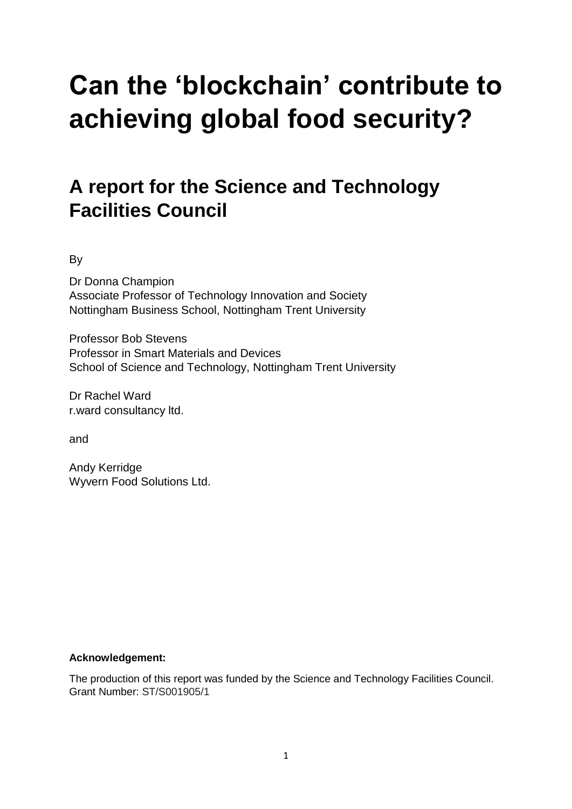# **Can the 'blockchain' contribute to achieving global food security?**

## **A report for the Science and Technology Facilities Council**

By

Dr Donna Champion Associate Professor of Technology Innovation and Society Nottingham Business School, Nottingham Trent University

Professor Bob Stevens Professor in Smart Materials and Devices School of Science and Technology, Nottingham Trent University

Dr Rachel Ward r.ward consultancy ltd.

and

Andy Kerridge Wyvern Food Solutions Ltd.

#### **Acknowledgement:**

The production of this report was funded by the Science and Technology Facilities Council. Grant Number: ST/S001905/1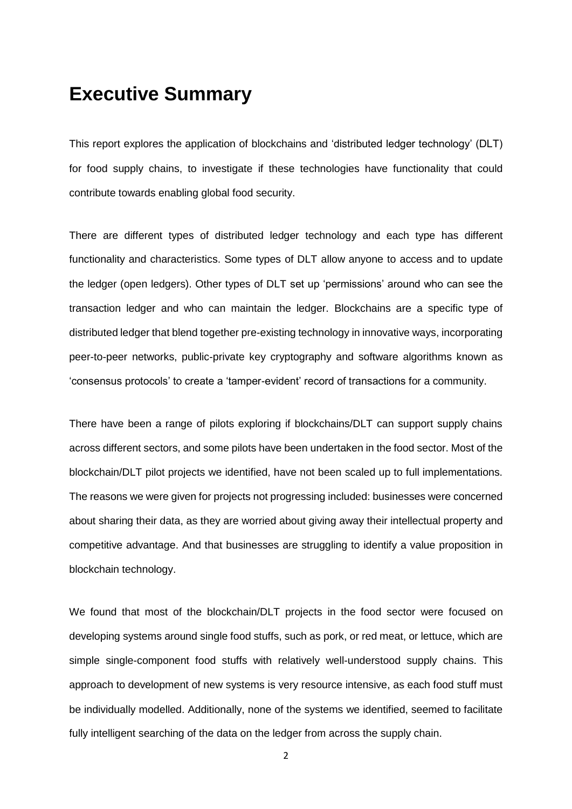## **Executive Summary**

This report explores the application of blockchains and 'distributed ledger technology' (DLT) for food supply chains, to investigate if these technologies have functionality that could contribute towards enabling global food security.

There are different types of distributed ledger technology and each type has different functionality and characteristics. Some types of DLT allow anyone to access and to update the ledger (open ledgers). Other types of DLT set up 'permissions' around who can see the transaction ledger and who can maintain the ledger. Blockchains are a specific type of distributed ledger that blend together pre-existing technology in innovative ways, incorporating peer-to-peer networks, public-private key cryptography and software algorithms known as 'consensus protocols' to create a 'tamper-evident' record of transactions for a community.

There have been a range of pilots exploring if blockchains/DLT can support supply chains across different sectors, and some pilots have been undertaken in the food sector. Most of the blockchain/DLT pilot projects we identified, have not been scaled up to full implementations. The reasons we were given for projects not progressing included: businesses were concerned about sharing their data, as they are worried about giving away their intellectual property and competitive advantage. And that businesses are struggling to identify a value proposition in blockchain technology.

We found that most of the blockchain/DLT projects in the food sector were focused on developing systems around single food stuffs, such as pork, or red meat, or lettuce, which are simple single-component food stuffs with relatively well-understood supply chains. This approach to development of new systems is very resource intensive, as each food stuff must be individually modelled. Additionally, none of the systems we identified, seemed to facilitate fully intelligent searching of the data on the ledger from across the supply chain.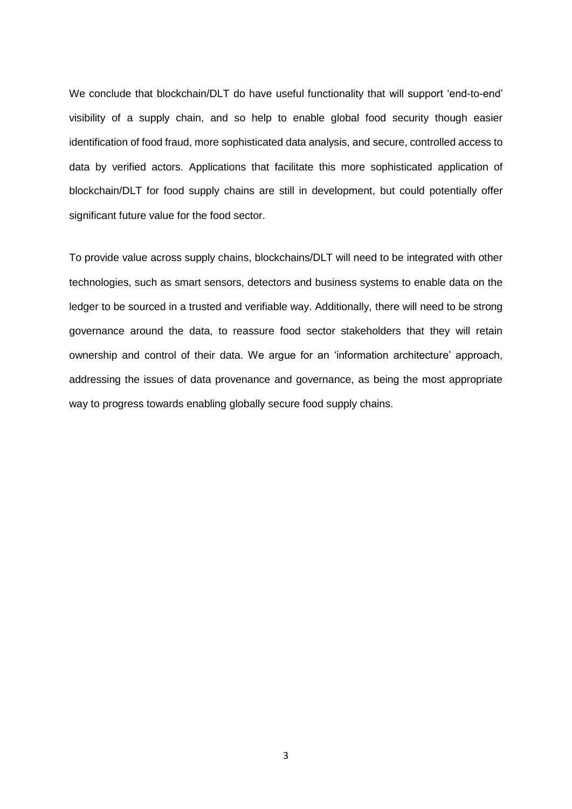We conclude that blockchain/DLT do have useful functionality that will support 'end-to-end' visibility of a supply chain, and so help to enable global food security though easier identification of food fraud, more sophisticated data analysis, and secure, controlled access to data by verified actors. Applications that facilitate this more sophisticated application of blockchain/DLT for food supply chains are still in development, but could potentially offer significant future value for the food sector.

To provide value across supply chains, blockchains/DLT will need to be integrated with other technologies, such as smart sensors, detectors and business systems to enable data on the ledger to be sourced in a trusted and verifiable way. Additionally, there will need to be strong governance around the data, to reassure food sector stakeholders that they will retain ownership and control of their data. We argue for an 'information architecture' approach, addressing the issues of data provenance and governance, as being the most appropriate way to progress towards enabling globally secure food supply chains.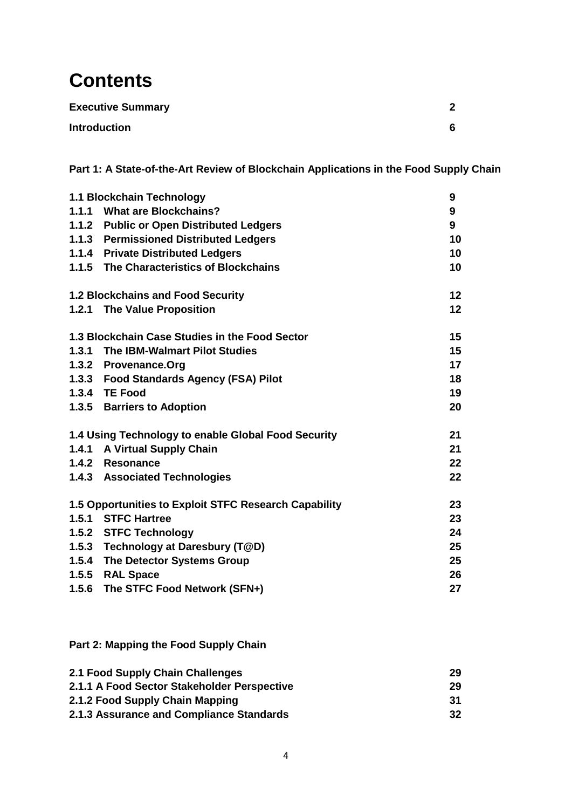## **Contents**

| <b>Executive Summary</b> | ົ |
|--------------------------|---|
| <b>Introduction</b>      | 6 |

**Part 1: A State-of-the-Art Review of Blockchain Applications in the Food Supply Chain**

|                                        | 1.1 Blockchain Technology                             |    |  |
|----------------------------------------|-------------------------------------------------------|----|--|
|                                        | 1.1.1 What are Blockchains?                           |    |  |
|                                        | 1.1.2 Public or Open Distributed Ledgers              |    |  |
| 1.1.3 Permissioned Distributed Ledgers |                                                       | 10 |  |
|                                        | 1.1.4 Private Distributed Ledgers                     | 10 |  |
|                                        | 1.1.5 The Characteristics of Blockchains              | 10 |  |
|                                        | <b>1.2 Blockchains and Food Security</b>              | 12 |  |
|                                        | 1.2.1 The Value Proposition                           | 12 |  |
|                                        | 1.3 Blockchain Case Studies in the Food Sector        | 15 |  |
|                                        | 1.3.1 The IBM-Walmart Pilot Studies                   | 15 |  |
|                                        | 1.3.2 Provenance.Org                                  | 17 |  |
|                                        | 1.3.3 Food Standards Agency (FSA) Pilot               | 18 |  |
|                                        | 1.3.4 TE Food                                         | 19 |  |
|                                        | 1.3.5 Barriers to Adoption                            | 20 |  |
|                                        | 1.4 Using Technology to enable Global Food Security   | 21 |  |
|                                        | 1.4.1 A Virtual Supply Chain                          | 21 |  |
|                                        | 1.4.2 Resonance                                       | 22 |  |
|                                        | 1.4.3 Associated Technologies                         | 22 |  |
|                                        | 1.5 Opportunities to Exploit STFC Research Capability | 23 |  |
|                                        | 1.5.1 STFC Hartree                                    | 23 |  |
|                                        | 1.5.2 STFC Technology                                 | 24 |  |
|                                        | 1.5.3 Technology at Daresbury (T@D)                   | 25 |  |
|                                        | 1.5.4 The Detector Systems Group                      | 25 |  |
|                                        | 1.5.5 RAL Space                                       | 26 |  |
| 1.5.6                                  | The STFC Food Network (SFN+)                          | 27 |  |

**Part 2: Mapping the Food Supply Chain**

| 2.1 Food Supply Chain Challenges            | 29  |
|---------------------------------------------|-----|
| 2.1.1 A Food Sector Stakeholder Perspective | 29  |
| 2.1.2 Food Supply Chain Mapping             | -31 |
| 2.1.3 Assurance and Compliance Standards    | 32  |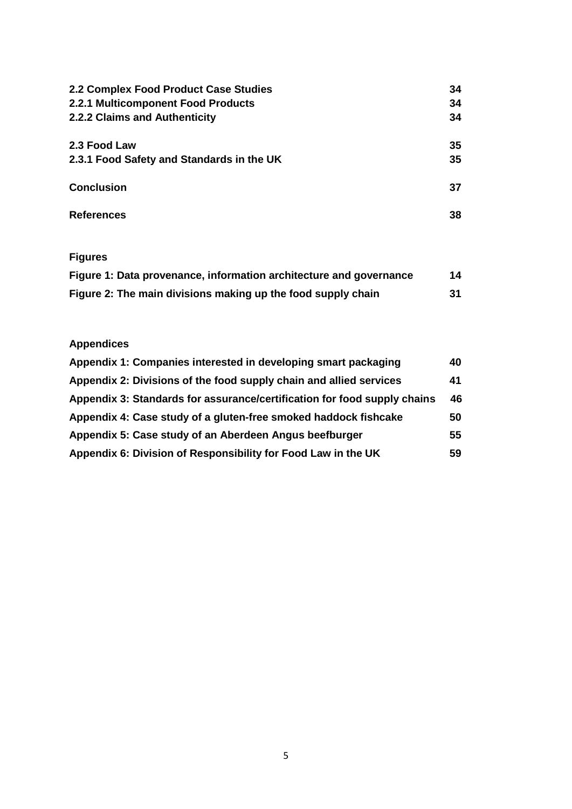| 2.2 Complex Food Product Case Studies     | 34 |
|-------------------------------------------|----|
| 2.2.1 Multicomponent Food Products        | 34 |
| 2.2.2 Claims and Authenticity             | 34 |
| 2.3 Food Law                              | 35 |
| 2.3.1 Food Safety and Standards in the UK | 35 |
| <b>Conclusion</b>                         | 37 |
| <b>References</b>                         | 38 |

## **Figures**

| Figure 1: Data provenance, information architecture and governance | 14 |
|--------------------------------------------------------------------|----|
| Figure 2: The main divisions making up the food supply chain       | 31 |

## **Appendices**

| Appendix 1: Companies interested in developing smart packaging           | 40 |
|--------------------------------------------------------------------------|----|
| Appendix 2: Divisions of the food supply chain and allied services       | 41 |
| Appendix 3: Standards for assurance/certification for food supply chains | 46 |
| Appendix 4: Case study of a gluten-free smoked haddock fishcake          | 50 |
| Appendix 5: Case study of an Aberdeen Angus beefburger                   | 55 |
| Appendix 6: Division of Responsibility for Food Law in the UK            | 59 |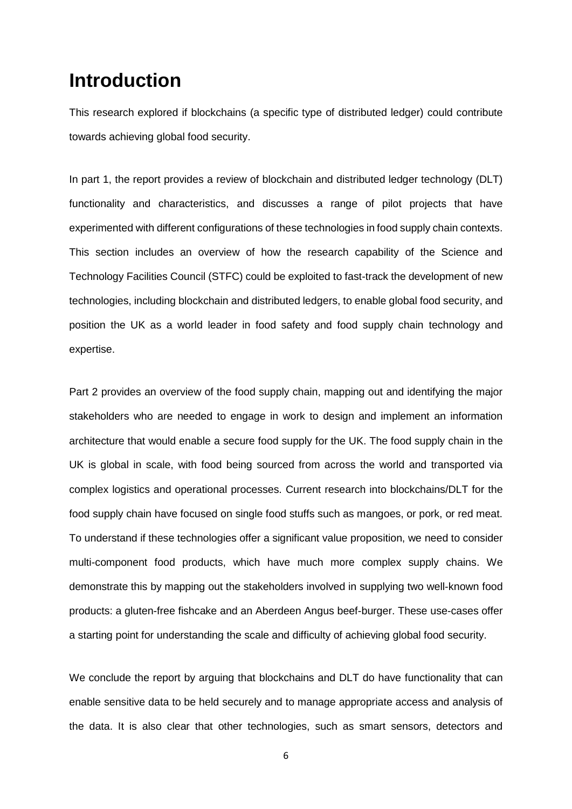## **Introduction**

This research explored if blockchains (a specific type of distributed ledger) could contribute towards achieving global food security.

In part 1, the report provides a review of blockchain and distributed ledger technology (DLT) functionality and characteristics, and discusses a range of pilot projects that have experimented with different configurations of these technologies in food supply chain contexts. This section includes an overview of how the research capability of the Science and Technology Facilities Council (STFC) could be exploited to fast-track the development of new technologies, including blockchain and distributed ledgers, to enable global food security, and position the UK as a world leader in food safety and food supply chain technology and expertise.

Part 2 provides an overview of the food supply chain, mapping out and identifying the major stakeholders who are needed to engage in work to design and implement an information architecture that would enable a secure food supply for the UK. The food supply chain in the UK is global in scale, with food being sourced from across the world and transported via complex logistics and operational processes. Current research into blockchains/DLT for the food supply chain have focused on single food stuffs such as mangoes, or pork, or red meat. To understand if these technologies offer a significant value proposition, we need to consider multi-component food products, which have much more complex supply chains. We demonstrate this by mapping out the stakeholders involved in supplying two well-known food products: a gluten-free fishcake and an Aberdeen Angus beef-burger. These use-cases offer a starting point for understanding the scale and difficulty of achieving global food security.

We conclude the report by arguing that blockchains and DLT do have functionality that can enable sensitive data to be held securely and to manage appropriate access and analysis of the data. It is also clear that other technologies, such as smart sensors, detectors and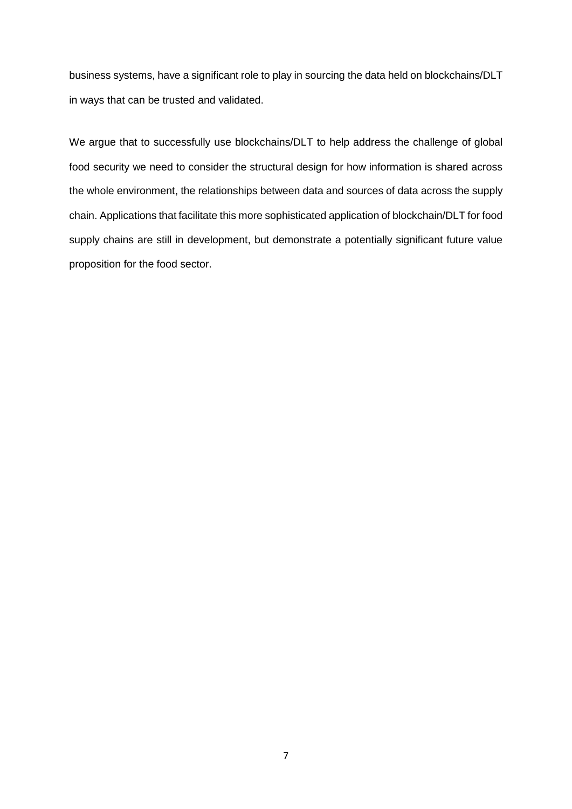business systems, have a significant role to play in sourcing the data held on blockchains/DLT in ways that can be trusted and validated.

We argue that to successfully use blockchains/DLT to help address the challenge of global food security we need to consider the structural design for how information is shared across the whole environment, the relationships between data and sources of data across the supply chain. Applications that facilitate this more sophisticated application of blockchain/DLT for food supply chains are still in development, but demonstrate a potentially significant future value proposition for the food sector.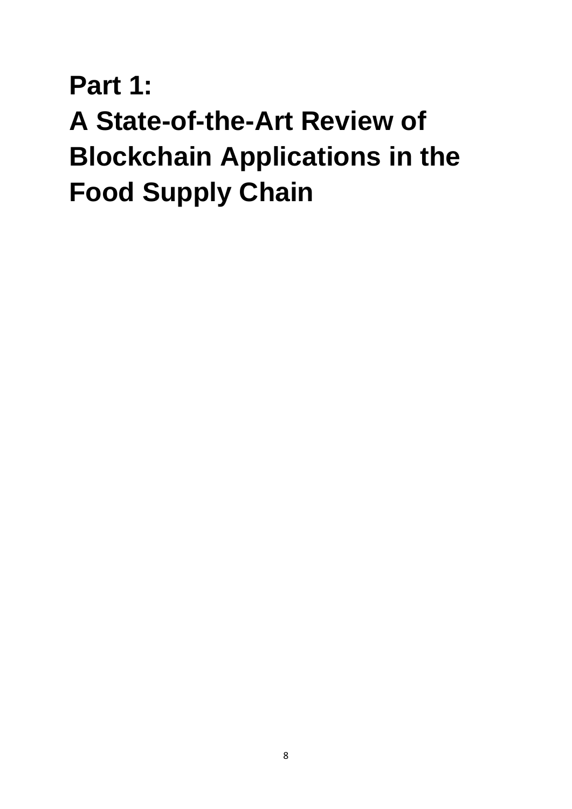# **Part 1: A State-of-the-Art Review of Blockchain Applications in the Food Supply Chain**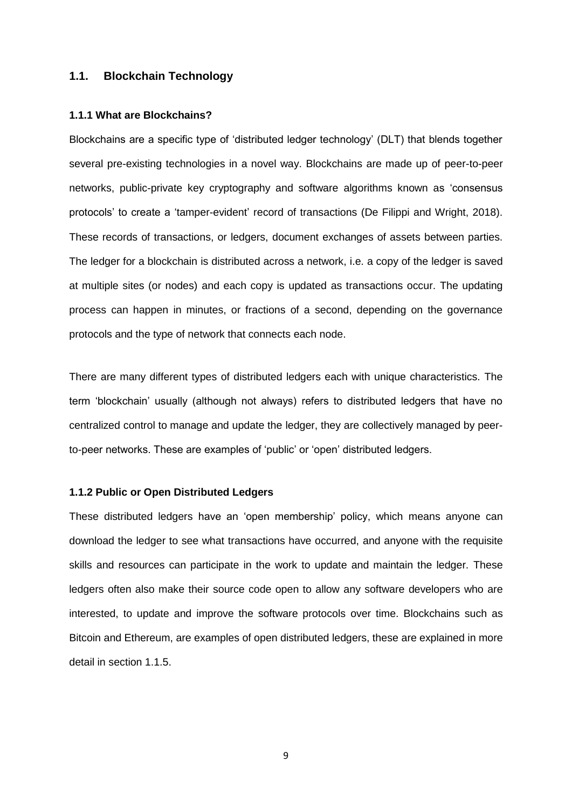#### **1.1. Blockchain Technology**

#### **1.1.1 What are Blockchains?**

Blockchains are a specific type of 'distributed ledger technology' (DLT) that blends together several pre-existing technologies in a novel way. Blockchains are made up of peer-to-peer networks, public-private key cryptography and software algorithms known as 'consensus protocols' to create a 'tamper-evident' record of transactions (De Filippi and Wright, 2018). These records of transactions, or ledgers, document exchanges of assets between parties. The ledger for a blockchain is distributed across a network, i.e. a copy of the ledger is saved at multiple sites (or nodes) and each copy is updated as transactions occur. The updating process can happen in minutes, or fractions of a second, depending on the governance protocols and the type of network that connects each node.

There are many different types of distributed ledgers each with unique characteristics. The term 'blockchain' usually (although not always) refers to distributed ledgers that have no centralized control to manage and update the ledger, they are collectively managed by peerto-peer networks. These are examples of 'public' or 'open' distributed ledgers.

#### **1.1.2 Public or Open Distributed Ledgers**

These distributed ledgers have an 'open membership' policy, which means anyone can download the ledger to see what transactions have occurred, and anyone with the requisite skills and resources can participate in the work to update and maintain the ledger. These ledgers often also make their source code open to allow any software developers who are interested, to update and improve the software protocols over time. Blockchains such as Bitcoin and Ethereum, are examples of open distributed ledgers, these are explained in more detail in section 1.1.5.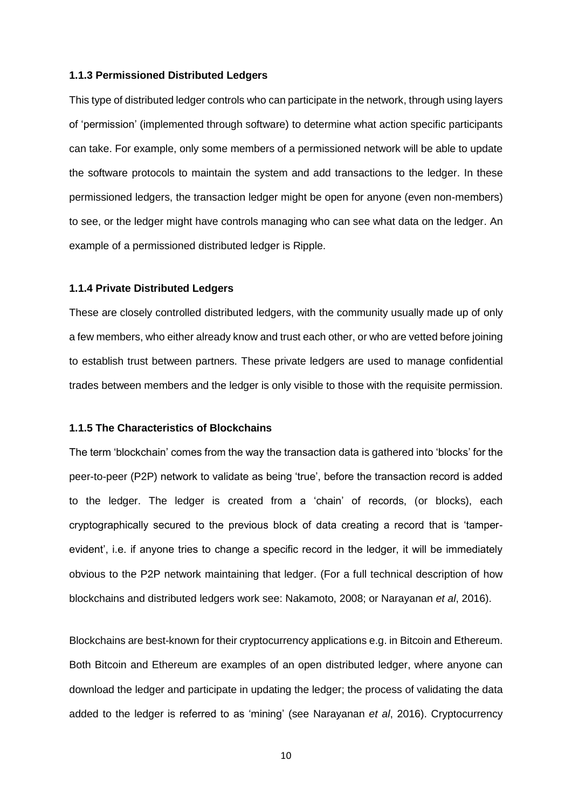#### **1.1.3 Permissioned Distributed Ledgers**

This type of distributed ledger controls who can participate in the network, through using layers of 'permission' (implemented through software) to determine what action specific participants can take. For example, only some members of a permissioned network will be able to update the software protocols to maintain the system and add transactions to the ledger. In these permissioned ledgers, the transaction ledger might be open for anyone (even non-members) to see, or the ledger might have controls managing who can see what data on the ledger. An example of a permissioned distributed ledger is Ripple.

#### **1.1.4 Private Distributed Ledgers**

These are closely controlled distributed ledgers, with the community usually made up of only a few members, who either already know and trust each other, or who are vetted before joining to establish trust between partners. These private ledgers are used to manage confidential trades between members and the ledger is only visible to those with the requisite permission.

#### **1.1.5 The Characteristics of Blockchains**

The term 'blockchain' comes from the way the transaction data is gathered into 'blocks' for the peer-to-peer (P2P) network to validate as being 'true', before the transaction record is added to the ledger. The ledger is created from a 'chain' of records, (or blocks), each cryptographically secured to the previous block of data creating a record that is 'tamperevident', i.e. if anyone tries to change a specific record in the ledger, it will be immediately obvious to the P2P network maintaining that ledger. (For a full technical description of how blockchains and distributed ledgers work see: Nakamoto, 2008; or Narayanan *et al*, 2016).

Blockchains are best-known for their cryptocurrency applications e.g. in Bitcoin and Ethereum. Both Bitcoin and Ethereum are examples of an open distributed ledger, where anyone can download the ledger and participate in updating the ledger; the process of validating the data added to the ledger is referred to as 'mining' (see Narayanan *et al*, 2016). Cryptocurrency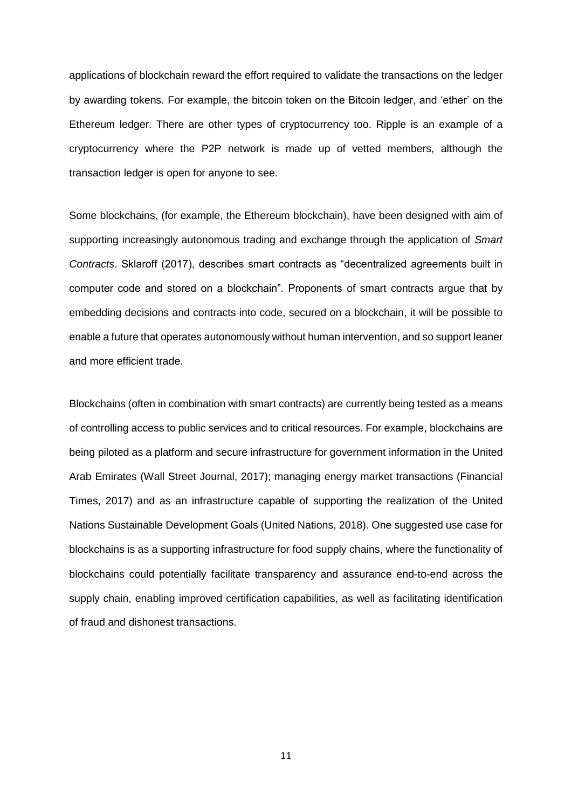applications of blockchain reward the effort required to validate the transactions on the ledger by awarding tokens. For example, the bitcoin token on the Bitcoin ledger, and 'ether' on the Ethereum ledger. There are other types of cryptocurrency too. Ripple is an example of a cryptocurrency where the P2P network is made up of vetted members, although the transaction ledger is open for anyone to see.

Some blockchains, (for example, the Ethereum blockchain), have been designed with aim of supporting increasingly autonomous trading and exchange through the application of *Smart Contracts*. Sklaroff (2017), describes smart contracts as "decentralized agreements built in computer code and stored on a blockchain". Proponents of smart contracts argue that by embedding decisions and contracts into code, secured on a blockchain, it will be possible to enable a future that operates autonomously without human intervention, and so support leaner and more efficient trade.

Blockchains (often in combination with smart contracts) are currently being tested as a means of controlling access to public services and to critical resources. For example, blockchains are being piloted as a platform and secure infrastructure for government information in the United Arab Emirates (Wall Street Journal, 2017); managing energy market transactions (Financial Times, 2017) and as an infrastructure capable of supporting the realization of the United Nations Sustainable Development Goals (United Nations, 2018). One suggested use case for blockchains is as a supporting infrastructure for food supply chains, where the functionality of blockchains could potentially facilitate transparency and assurance end-to-end across the supply chain, enabling improved certification capabilities, as well as facilitating identification of fraud and dishonest transactions.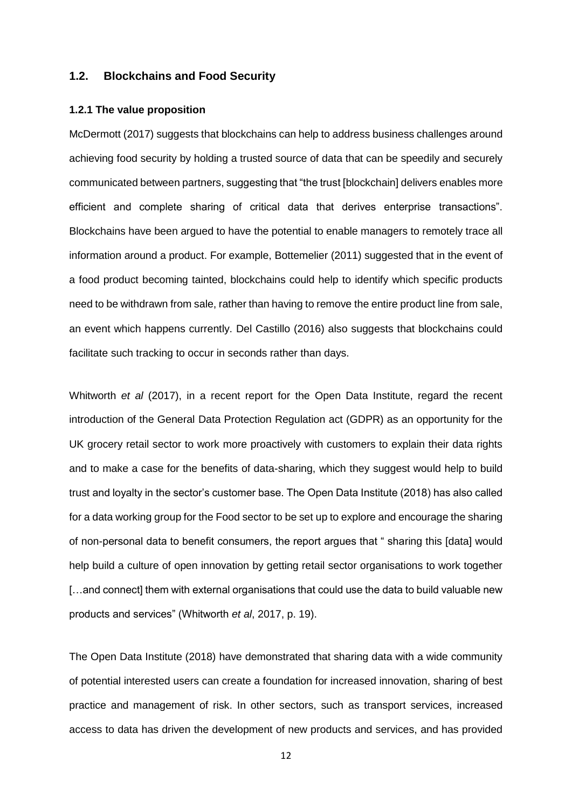#### **1.2. Blockchains and Food Security**

#### **1.2.1 The value proposition**

McDermott (2017) suggests that blockchains can help to address business challenges around achieving food security by holding a trusted source of data that can be speedily and securely communicated between partners, suggesting that "the trust [blockchain] delivers enables more efficient and complete sharing of critical data that derives enterprise transactions". Blockchains have been argued to have the potential to enable managers to remotely trace all information around a product. For example, Bottemelier (2011) suggested that in the event of a food product becoming tainted, blockchains could help to identify which specific products need to be withdrawn from sale, rather than having to remove the entire product line from sale, an event which happens currently. Del Castillo (2016) also suggests that blockchains could facilitate such tracking to occur in seconds rather than days.

Whitworth *et al* (2017), in a recent report for the Open Data Institute, regard the recent introduction of the General Data Protection Regulation act (GDPR) as an opportunity for the UK grocery retail sector to work more proactively with customers to explain their data rights and to make a case for the benefits of data-sharing, which they suggest would help to build trust and loyalty in the sector's customer base. The Open Data Institute (2018) has also called for a data working group for the Food sector to be set up to explore and encourage the sharing of non-personal data to benefit consumers, the report argues that " sharing this [data] would help build a culture of open innovation by getting retail sector organisations to work together [...and connect] them with external organisations that could use the data to build valuable new products and services" (Whitworth *et al*, 2017, p. 19).

The Open Data Institute (2018) have demonstrated that sharing data with a wide community of potential interested users can create a foundation for increased innovation, sharing of best practice and management of risk. In other sectors, such as transport services, increased access to data has driven the development of new products and services, and has provided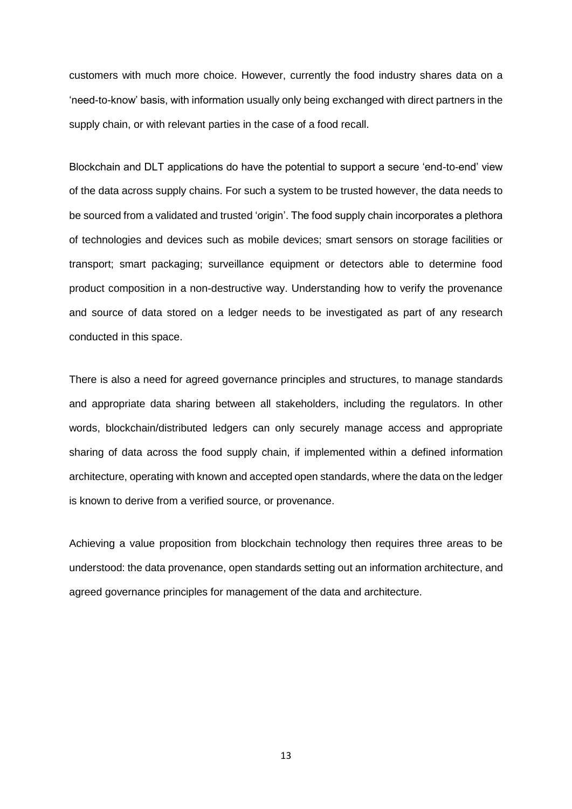customers with much more choice. However, currently the food industry shares data on a 'need-to-know' basis, with information usually only being exchanged with direct partners in the supply chain, or with relevant parties in the case of a food recall.

Blockchain and DLT applications do have the potential to support a secure 'end-to-end' view of the data across supply chains. For such a system to be trusted however, the data needs to be sourced from a validated and trusted 'origin'. The food supply chain incorporates a plethora of technologies and devices such as mobile devices; smart sensors on storage facilities or transport; smart packaging; surveillance equipment or detectors able to determine food product composition in a non-destructive way. Understanding how to verify the provenance and source of data stored on a ledger needs to be investigated as part of any research conducted in this space.

There is also a need for agreed governance principles and structures, to manage standards and appropriate data sharing between all stakeholders, including the regulators. In other words, blockchain/distributed ledgers can only securely manage access and appropriate sharing of data across the food supply chain, if implemented within a defined information architecture, operating with known and accepted open standards, where the data on the ledger is known to derive from a verified source, or provenance.

Achieving a value proposition from blockchain technology then requires three areas to be understood: the data provenance, open standards setting out an information architecture, and agreed governance principles for management of the data and architecture.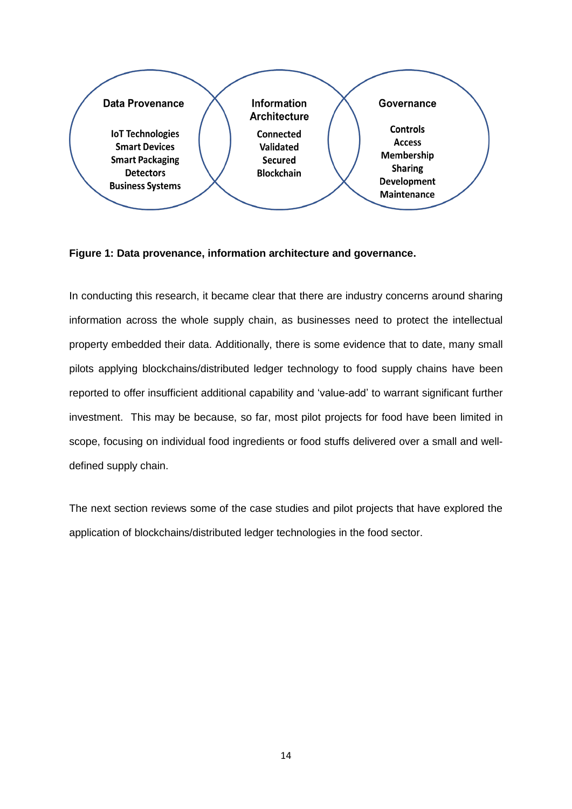

**Figure 1: Data provenance, information architecture and governance.**

In conducting this research, it became clear that there are industry concerns around sharing information across the whole supply chain, as businesses need to protect the intellectual property embedded their data. Additionally, there is some evidence that to date, many small pilots applying blockchains/distributed ledger technology to food supply chains have been reported to offer insufficient additional capability and 'value-add' to warrant significant further investment. This may be because, so far, most pilot projects for food have been limited in scope, focusing on individual food ingredients or food stuffs delivered over a small and welldefined supply chain.

The next section reviews some of the case studies and pilot projects that have explored the application of blockchains/distributed ledger technologies in the food sector.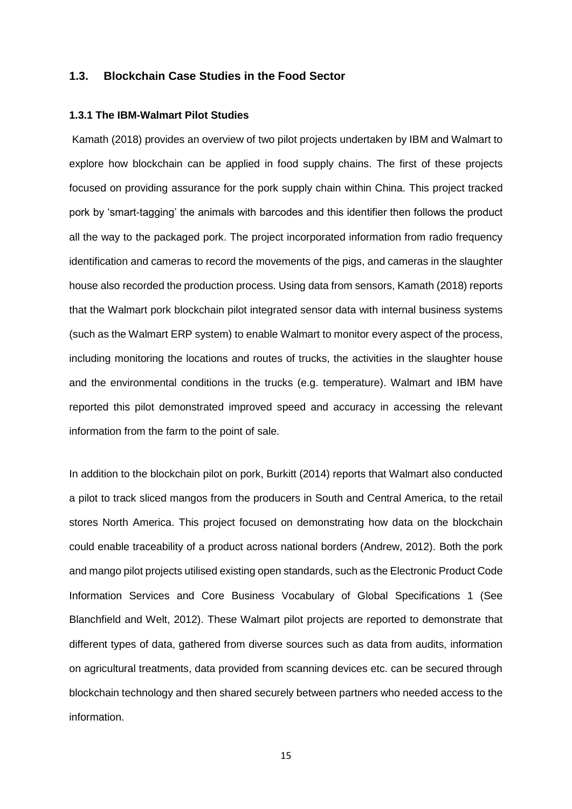#### **1.3. Blockchain Case Studies in the Food Sector**

#### **1.3.1 The IBM-Walmart Pilot Studies**

Kamath (2018) provides an overview of two pilot projects undertaken by IBM and Walmart to explore how blockchain can be applied in food supply chains. The first of these projects focused on providing assurance for the pork supply chain within China. This project tracked pork by 'smart-tagging' the animals with barcodes and this identifier then follows the product all the way to the packaged pork. The project incorporated information from radio frequency identification and cameras to record the movements of the pigs, and cameras in the slaughter house also recorded the production process. Using data from sensors, Kamath (2018) reports that the Walmart pork blockchain pilot integrated sensor data with internal business systems (such as the Walmart ERP system) to enable Walmart to monitor every aspect of the process, including monitoring the locations and routes of trucks, the activities in the slaughter house and the environmental conditions in the trucks (e.g. temperature). Walmart and IBM have reported this pilot demonstrated improved speed and accuracy in accessing the relevant information from the farm to the point of sale.

In addition to the blockchain pilot on pork, Burkitt (2014) reports that Walmart also conducted a pilot to track sliced mangos from the producers in South and Central America, to the retail stores North America. This project focused on demonstrating how data on the blockchain could enable traceability of a product across national borders (Andrew, 2012). Both the pork and mango pilot projects utilised existing open standards, such as the Electronic Product Code Information Services and Core Business Vocabulary of Global Specifications 1 (See Blanchfield and Welt, 2012). These Walmart pilot projects are reported to demonstrate that different types of data, gathered from diverse sources such as data from audits, information on agricultural treatments, data provided from scanning devices etc. can be secured through blockchain technology and then shared securely between partners who needed access to the information.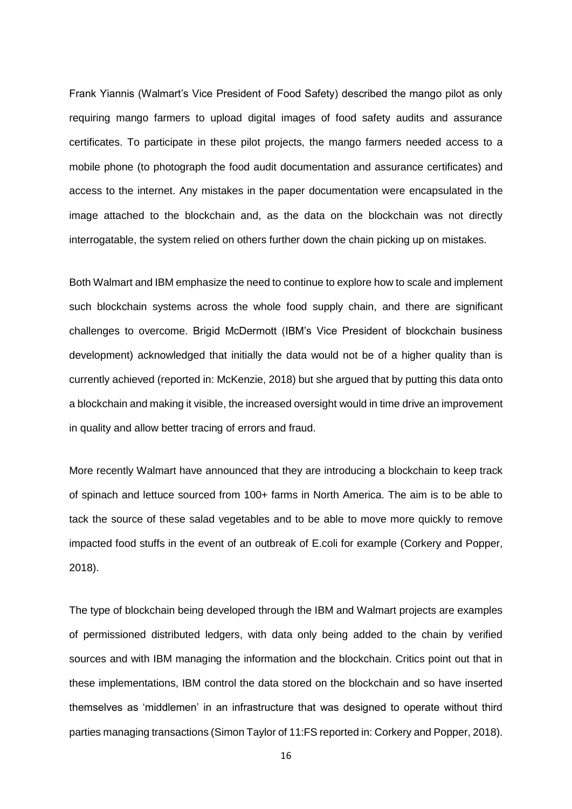Frank Yiannis (Walmart's Vice President of Food Safety) described the mango pilot as only requiring mango farmers to upload digital images of food safety audits and assurance certificates. To participate in these pilot projects, the mango farmers needed access to a mobile phone (to photograph the food audit documentation and assurance certificates) and access to the internet. Any mistakes in the paper documentation were encapsulated in the image attached to the blockchain and, as the data on the blockchain was not directly interrogatable, the system relied on others further down the chain picking up on mistakes.

Both Walmart and IBM emphasize the need to continue to explore how to scale and implement such blockchain systems across the whole food supply chain, and there are significant challenges to overcome. Brigid McDermott (IBM's Vice President of blockchain business development) acknowledged that initially the data would not be of a higher quality than is currently achieved (reported in: McKenzie, 2018) but she argued that by putting this data onto a blockchain and making it visible, the increased oversight would in time drive an improvement in quality and allow better tracing of errors and fraud.

More recently Walmart have announced that they are introducing a blockchain to keep track of spinach and lettuce sourced from 100+ farms in North America. The aim is to be able to tack the source of these salad vegetables and to be able to move more quickly to remove impacted food stuffs in the event of an outbreak of E.coli for example (Corkery and Popper, 2018).

The type of blockchain being developed through the IBM and Walmart projects are examples of permissioned distributed ledgers, with data only being added to the chain by verified sources and with IBM managing the information and the blockchain. Critics point out that in these implementations, IBM control the data stored on the blockchain and so have inserted themselves as 'middlemen' in an infrastructure that was designed to operate without third parties managing transactions (Simon Taylor of 11:FS reported in: Corkery and Popper, 2018).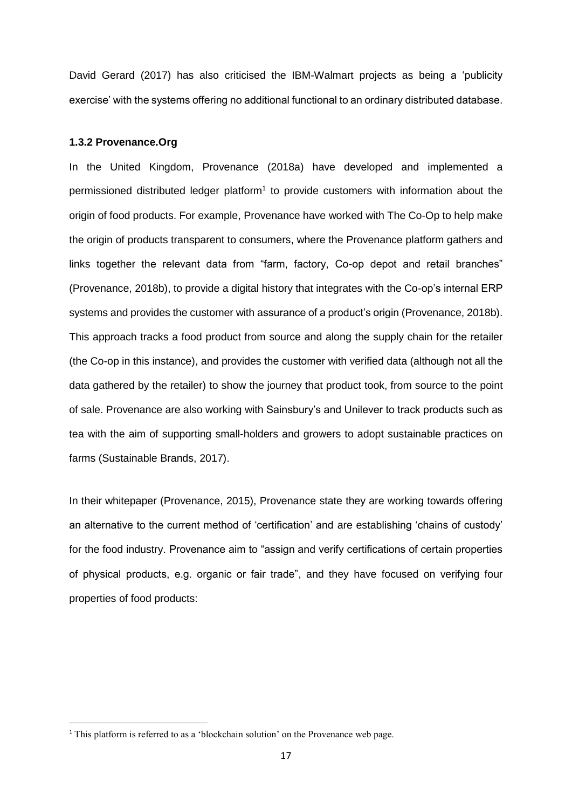David Gerard (2017) has also criticised the IBM-Walmart projects as being a 'publicity exercise' with the systems offering no additional functional to an ordinary distributed database.

#### **1.3.2 Provenance.Org**

In the United Kingdom, Provenance (2018a) have developed and implemented a permissioned distributed ledger platform<sup>1</sup> to provide customers with information about the origin of food products. For example, Provenance have worked with The Co-Op to help make the origin of products transparent to consumers, where the Provenance platform gathers and links together the relevant data from "farm, factory, Co-op depot and retail branches" (Provenance, 2018b), to provide a digital history that integrates with the Co-op's internal ERP systems and provides the customer with assurance of a product's origin (Provenance, 2018b). This approach tracks a food product from source and along the supply chain for the retailer (the Co-op in this instance), and provides the customer with verified data (although not all the data gathered by the retailer) to show the journey that product took, from source to the point of sale. Provenance are also working with Sainsbury's and Unilever to track products such as tea with the aim of supporting small-holders and growers to adopt sustainable practices on farms (Sustainable Brands, 2017).

In their whitepaper (Provenance, 2015), Provenance state they are working towards offering an alternative to the current method of 'certification' and are establishing 'chains of custody' for the food industry. Provenance aim to "assign and verify certifications of certain properties of physical products, e.g. organic or fair trade", and they have focused on verifying four properties of food products:

**.** 

<sup>&</sup>lt;sup>1</sup> This platform is referred to as a 'blockchain solution' on the Provenance web page.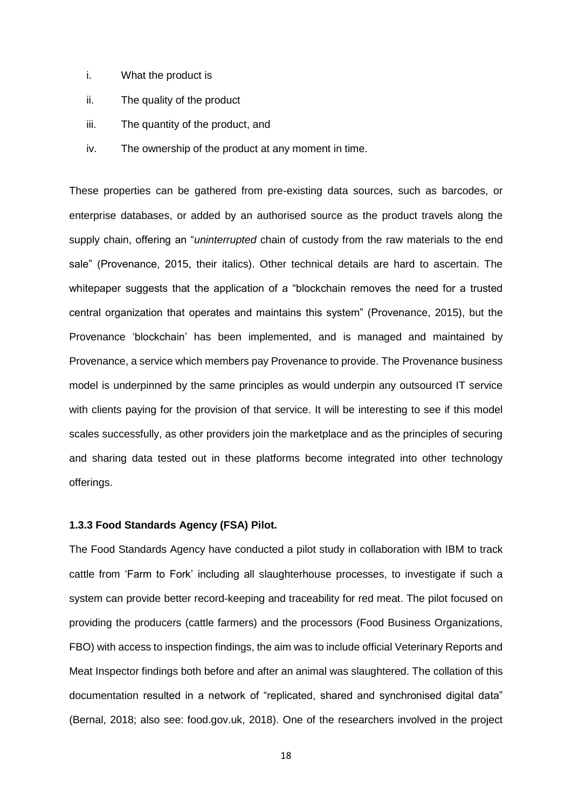- i. What the product is
- ii. The quality of the product
- iii. The quantity of the product, and
- iv. The ownership of the product at any moment in time.

These properties can be gathered from pre-existing data sources, such as barcodes, or enterprise databases, or added by an authorised source as the product travels along the supply chain, offering an "*uninterrupted* chain of custody from the raw materials to the end sale" (Provenance, 2015, their italics). Other technical details are hard to ascertain. The whitepaper suggests that the application of a "blockchain removes the need for a trusted central organization that operates and maintains this system" (Provenance, 2015), but the Provenance 'blockchain' has been implemented, and is managed and maintained by Provenance, a service which members pay Provenance to provide. The Provenance business model is underpinned by the same principles as would underpin any outsourced IT service with clients paying for the provision of that service. It will be interesting to see if this model scales successfully, as other providers join the marketplace and as the principles of securing and sharing data tested out in these platforms become integrated into other technology offerings.

#### **1.3.3 Food Standards Agency (FSA) Pilot.**

The Food Standards Agency have conducted a pilot study in collaboration with IBM to track cattle from 'Farm to Fork' including all slaughterhouse processes, to investigate if such a system can provide better record-keeping and traceability for red meat. The pilot focused on providing the producers (cattle farmers) and the processors (Food Business Organizations, FBO) with access to inspection findings, the aim was to include official Veterinary Reports and Meat Inspector findings both before and after an animal was slaughtered. The collation of this documentation resulted in a network of "replicated, shared and synchronised digital data" (Bernal, 2018; also see: food.gov.uk, 2018). One of the researchers involved in the project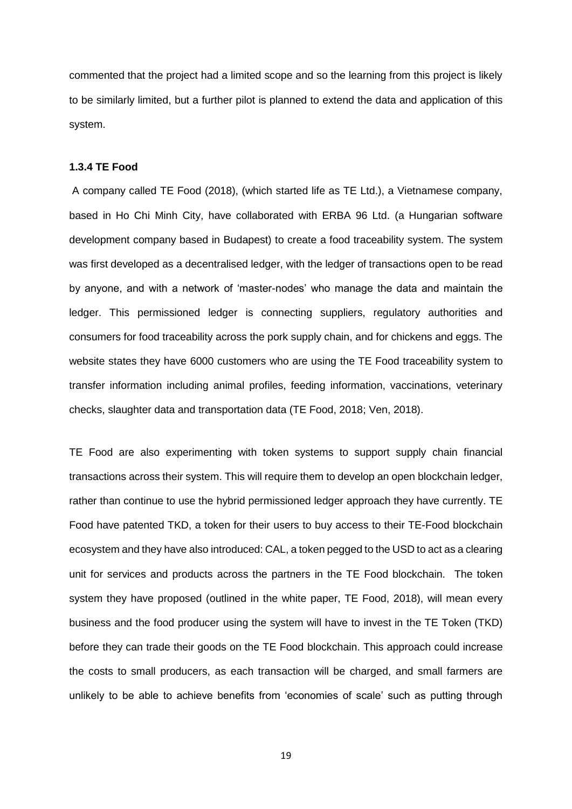commented that the project had a limited scope and so the learning from this project is likely to be similarly limited, but a further pilot is planned to extend the data and application of this system.

#### **1.3.4 TE Food**

A company called TE Food (2018), (which started life as TE Ltd.), a Vietnamese company, based in Ho Chi Minh City, have collaborated with ERBA 96 Ltd. (a Hungarian software development company based in Budapest) to create a food traceability system. The system was first developed as a decentralised ledger, with the ledger of transactions open to be read by anyone, and with a network of 'master-nodes' who manage the data and maintain the ledger. This permissioned ledger is connecting suppliers, regulatory authorities and consumers for food traceability across the pork supply chain, and for chickens and eggs. The website states they have 6000 customers who are using the TE Food traceability system to transfer information including animal profiles, feeding information, vaccinations, veterinary checks, slaughter data and transportation data (TE Food, 2018; Ven, 2018).

TE Food are also experimenting with token systems to support supply chain financial transactions across their system. This will require them to develop an open blockchain ledger, rather than continue to use the hybrid permissioned ledger approach they have currently. TE Food have patented TKD, a token for their users to buy access to their TE-Food blockchain ecosystem and they have also introduced: CAL, a token pegged to the USD to act as a clearing unit for services and products across the partners in the TE Food blockchain. The token system they have proposed (outlined in the white paper, TE Food, 2018), will mean every business and the food producer using the system will have to invest in the TE Token (TKD) before they can trade their goods on the TE Food blockchain. This approach could increase the costs to small producers, as each transaction will be charged, and small farmers are unlikely to be able to achieve benefits from 'economies of scale' such as putting through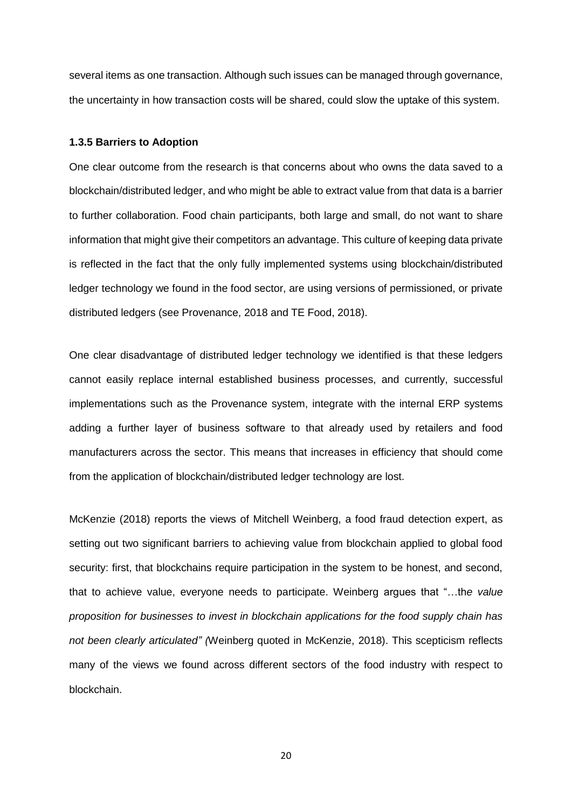several items as one transaction. Although such issues can be managed through governance, the uncertainty in how transaction costs will be shared, could slow the uptake of this system.

#### **1.3.5 Barriers to Adoption**

One clear outcome from the research is that concerns about who owns the data saved to a blockchain/distributed ledger, and who might be able to extract value from that data is a barrier to further collaboration. Food chain participants, both large and small, do not want to share information that might give their competitors an advantage. This culture of keeping data private is reflected in the fact that the only fully implemented systems using blockchain/distributed ledger technology we found in the food sector, are using versions of permissioned, or private distributed ledgers (see Provenance, 2018 and TE Food, 2018).

One clear disadvantage of distributed ledger technology we identified is that these ledgers cannot easily replace internal established business processes, and currently, successful implementations such as the Provenance system, integrate with the internal ERP systems adding a further layer of business software to that already used by retailers and food manufacturers across the sector. This means that increases in efficiency that should come from the application of blockchain/distributed ledger technology are lost.

McKenzie (2018) reports the views of Mitchell Weinberg, a food fraud detection expert, as setting out two significant barriers to achieving value from blockchain applied to global food security: first, that blockchains require participation in the system to be honest, and second, that to achieve value, everyone needs to participate. Weinberg argues that "…th*e value proposition for businesses to invest in blockchain applications for the food supply chain has not been clearly articulated" (*Weinberg quoted in McKenzie, 2018). This scepticism reflects many of the views we found across different sectors of the food industry with respect to blockchain.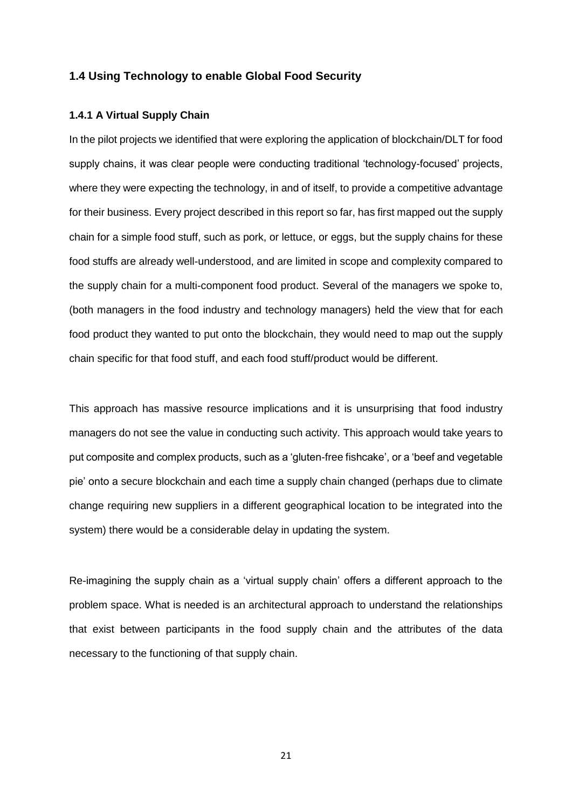#### **1.4 Using Technology to enable Global Food Security**

#### **1.4.1 A Virtual Supply Chain**

In the pilot projects we identified that were exploring the application of blockchain/DLT for food supply chains, it was clear people were conducting traditional 'technology-focused' projects, where they were expecting the technology, in and of itself, to provide a competitive advantage for their business. Every project described in this report so far, has first mapped out the supply chain for a simple food stuff, such as pork, or lettuce, or eggs, but the supply chains for these food stuffs are already well-understood, and are limited in scope and complexity compared to the supply chain for a multi-component food product. Several of the managers we spoke to, (both managers in the food industry and technology managers) held the view that for each food product they wanted to put onto the blockchain, they would need to map out the supply chain specific for that food stuff, and each food stuff/product would be different.

This approach has massive resource implications and it is unsurprising that food industry managers do not see the value in conducting such activity. This approach would take years to put composite and complex products, such as a 'gluten-free fishcake', or a 'beef and vegetable pie' onto a secure blockchain and each time a supply chain changed (perhaps due to climate change requiring new suppliers in a different geographical location to be integrated into the system) there would be a considerable delay in updating the system.

Re-imagining the supply chain as a 'virtual supply chain' offers a different approach to the problem space. What is needed is an architectural approach to understand the relationships that exist between participants in the food supply chain and the attributes of the data necessary to the functioning of that supply chain.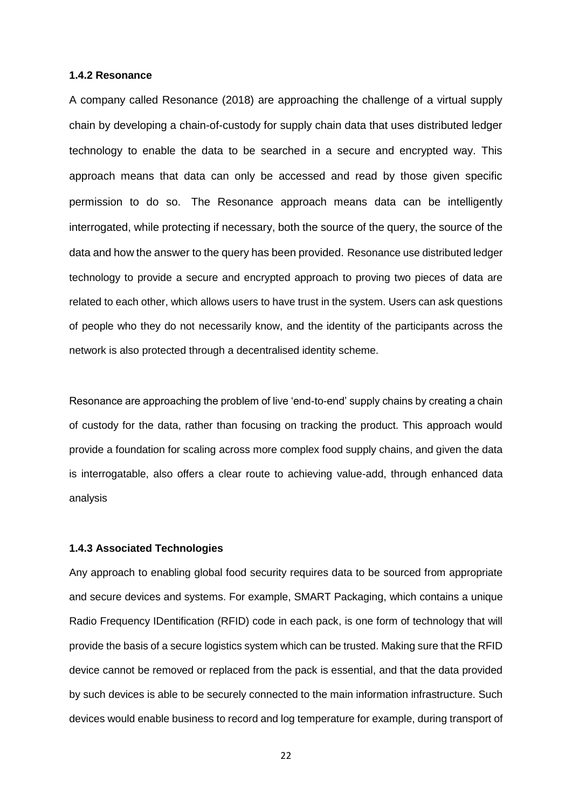#### **1.4.2 Resonance**

A company called Resonance (2018) are approaching the challenge of a virtual supply chain by developing a chain-of-custody for supply chain data that uses distributed ledger technology to enable the data to be searched in a secure and encrypted way. This approach means that data can only be accessed and read by those given specific permission to do so. The Resonance approach means data can be intelligently interrogated, while protecting if necessary, both the source of the query, the source of the data and how the answer to the query has been provided. Resonance use distributed ledger technology to provide a secure and encrypted approach to proving two pieces of data are related to each other, which allows users to have trust in the system. Users can ask questions of people who they do not necessarily know, and the identity of the participants across the network is also protected through a decentralised identity scheme.

Resonance are approaching the problem of live 'end-to-end' supply chains by creating a chain of custody for the data, rather than focusing on tracking the product. This approach would provide a foundation for scaling across more complex food supply chains, and given the data is interrogatable, also offers a clear route to achieving value-add, through enhanced data analysis

#### **1.4.3 Associated Technologies**

Any approach to enabling global food security requires data to be sourced from appropriate and secure devices and systems. For example, SMART Packaging, which contains a unique Radio Frequency IDentification (RFID) code in each pack, is one form of technology that will provide the basis of a secure logistics system which can be trusted. Making sure that the RFID device cannot be removed or replaced from the pack is essential, and that the data provided by such devices is able to be securely connected to the main information infrastructure. Such devices would enable business to record and log temperature for example, during transport of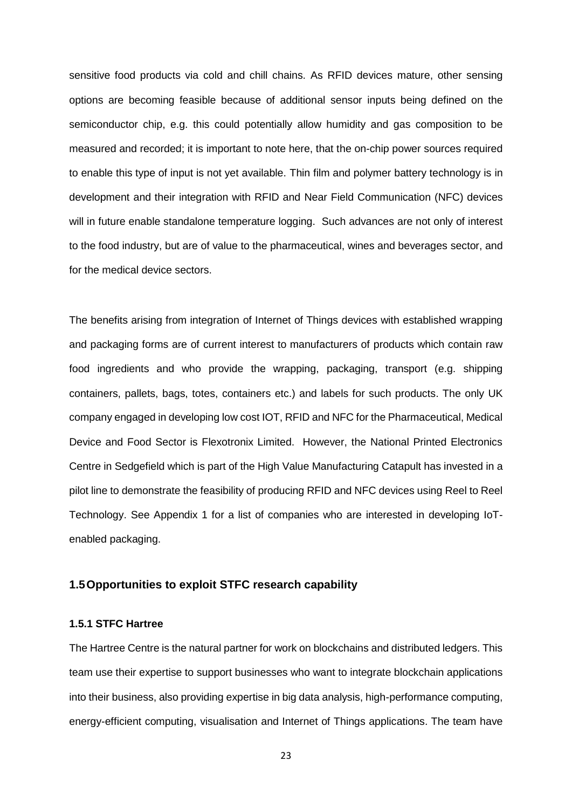sensitive food products via cold and chill chains. As RFID devices mature, other sensing options are becoming feasible because of additional sensor inputs being defined on the semiconductor chip, e.g. this could potentially allow humidity and gas composition to be measured and recorded; it is important to note here, that the on-chip power sources required to enable this type of input is not yet available. Thin film and polymer battery technology is in development and their integration with RFID and Near Field Communication (NFC) devices will in future enable standalone temperature logging. Such advances are not only of interest to the food industry, but are of value to the pharmaceutical, wines and beverages sector, and for the medical device sectors.

The benefits arising from integration of Internet of Things devices with established wrapping and packaging forms are of current interest to manufacturers of products which contain raw food ingredients and who provide the wrapping, packaging, transport (e.g. shipping containers, pallets, bags, totes, containers etc.) and labels for such products. The only UK company engaged in developing low cost IOT, RFID and NFC for the Pharmaceutical, Medical Device and Food Sector is Flexotronix Limited. However, the National Printed Electronics Centre in Sedgefield which is part of the High Value Manufacturing Catapult has invested in a pilot line to demonstrate the feasibility of producing RFID and NFC devices using Reel to Reel Technology. See Appendix 1 for a list of companies who are interested in developing IoTenabled packaging.

#### **1.5Opportunities to exploit STFC research capability**

#### **1.5.1 STFC Hartree**

The Hartree Centre is the natural partner for work on blockchains and distributed ledgers. This team use their expertise to support businesses who want to integrate blockchain applications into their business, also providing expertise in big data analysis, high-performance computing, energy-efficient computing, visualisation and Internet of Things applications. The team have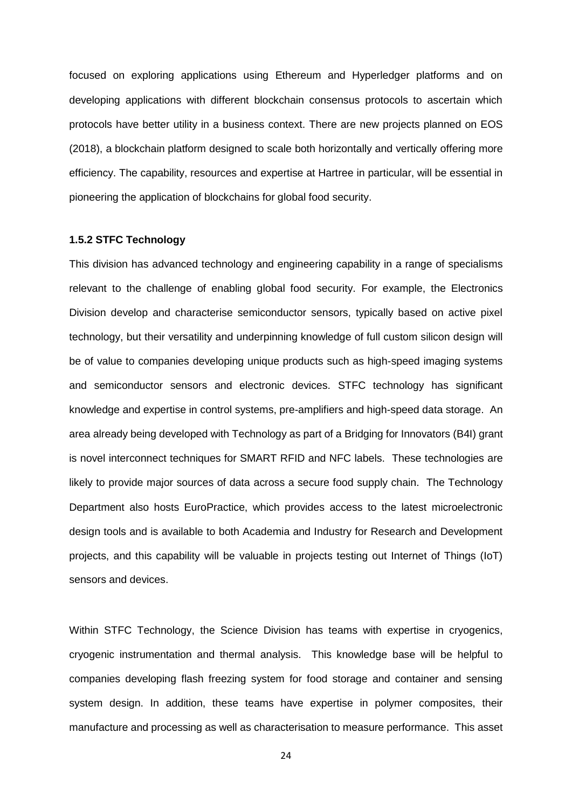focused on exploring applications using Ethereum and Hyperledger platforms and on developing applications with different blockchain consensus protocols to ascertain which protocols have better utility in a business context. There are new projects planned on EOS (2018), a blockchain platform designed to scale both horizontally and vertically offering more efficiency. The capability, resources and expertise at Hartree in particular, will be essential in pioneering the application of blockchains for global food security.

#### **1.5.2 STFC Technology**

This division has advanced technology and engineering capability in a range of specialisms relevant to the challenge of enabling global food security. For example, the Electronics Division develop and characterise semiconductor sensors, typically based on active pixel technology, but their versatility and underpinning knowledge of full custom silicon design will be of value to companies developing unique products such as high-speed imaging systems and semiconductor sensors and electronic devices. STFC technology has significant knowledge and expertise in control systems, pre-amplifiers and high-speed data storage. An area already being developed with Technology as part of a Bridging for Innovators (B4I) grant is novel interconnect techniques for SMART RFID and NFC labels. These technologies are likely to provide major sources of data across a secure food supply chain. The Technology Department also hosts EuroPractice, which provides access to the latest microelectronic design tools and is available to both Academia and Industry for Research and Development projects, and this capability will be valuable in projects testing out Internet of Things (IoT) sensors and devices.

Within STFC Technology, the Science Division has teams with expertise in cryogenics, cryogenic instrumentation and thermal analysis. This knowledge base will be helpful to companies developing flash freezing system for food storage and container and sensing system design. In addition, these teams have expertise in polymer composites, their manufacture and processing as well as characterisation to measure performance. This asset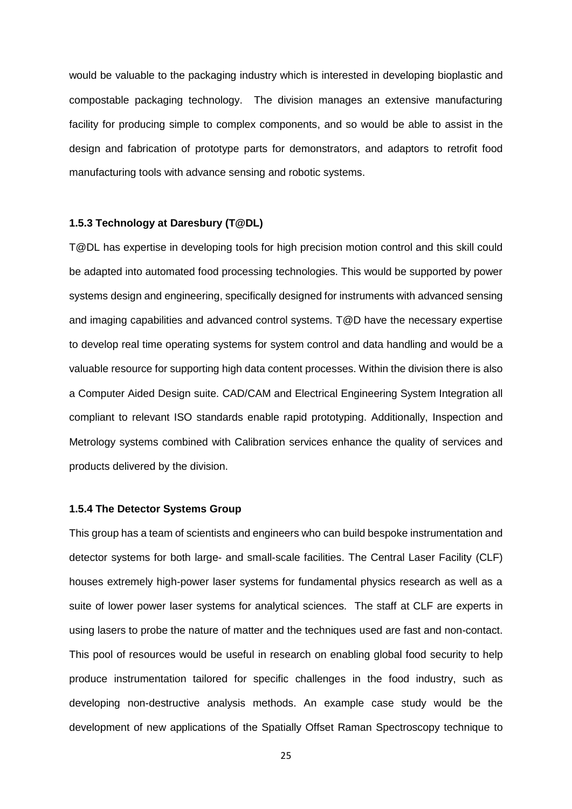would be valuable to the packaging industry which is interested in developing bioplastic and compostable packaging technology. The division manages an extensive manufacturing facility for producing simple to complex components, and so would be able to assist in the design and fabrication of prototype parts for demonstrators, and adaptors to retrofit food manufacturing tools with advance sensing and robotic systems.

#### **1.5.3 Technology at Daresbury (T@DL)**

T@DL has expertise in developing tools for high precision motion control and this skill could be adapted into automated food processing technologies. This would be supported by power systems design and engineering, specifically designed for instruments with advanced sensing and imaging capabilities and advanced control systems. T@D have the necessary expertise to develop real time operating systems for system control and data handling and would be a valuable resource for supporting high data content processes. Within the division there is also a Computer Aided Design suite. CAD/CAM and Electrical Engineering System Integration all compliant to relevant ISO standards enable rapid prototyping. Additionally, Inspection and Metrology systems combined with Calibration services enhance the quality of services and products delivered by the division.

#### **1.5.4 The Detector Systems Group**

This group has a team of scientists and engineers who can build bespoke instrumentation and detector systems for both large- and small-scale facilities. The Central Laser Facility (CLF) houses extremely high-power laser systems for fundamental physics research as well as a suite of lower power laser systems for analytical sciences. The staff at CLF are experts in using lasers to probe the nature of matter and the techniques used are fast and non-contact. This pool of resources would be useful in research on enabling global food security to help produce instrumentation tailored for specific challenges in the food industry, such as developing non-destructive analysis methods. An example case study would be the development of new applications of the Spatially Offset Raman Spectroscopy technique to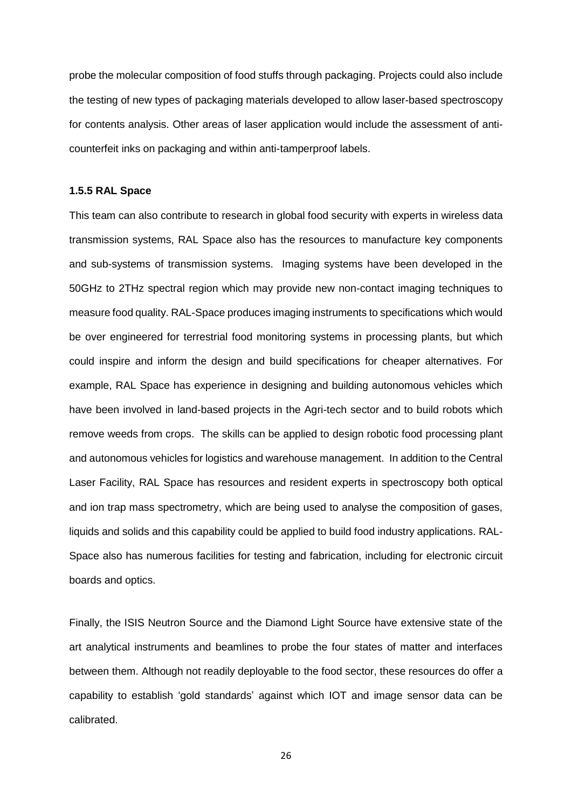probe the molecular composition of food stuffs through packaging. Projects could also include the testing of new types of packaging materials developed to allow laser-based spectroscopy for contents analysis. Other areas of laser application would include the assessment of anticounterfeit inks on packaging and within anti-tamperproof labels.

#### **1.5.5 RAL Space**

This team can also contribute to research in global food security with experts in wireless data transmission systems, RAL Space also has the resources to manufacture key components and sub-systems of transmission systems. Imaging systems have been developed in the 50GHz to 2THz spectral region which may provide new non-contact imaging techniques to measure food quality. RAL-Space produces imaging instruments to specifications which would be over engineered for terrestrial food monitoring systems in processing plants, but which could inspire and inform the design and build specifications for cheaper alternatives. For example, RAL Space has experience in designing and building autonomous vehicles which have been involved in land-based projects in the Agri-tech sector and to build robots which remove weeds from crops. The skills can be applied to design robotic food processing plant and autonomous vehicles for logistics and warehouse management. In addition to the Central Laser Facility, RAL Space has resources and resident experts in spectroscopy both optical and ion trap mass spectrometry, which are being used to analyse the composition of gases, liquids and solids and this capability could be applied to build food industry applications. RAL-Space also has numerous facilities for testing and fabrication, including for electronic circuit boards and optics.

Finally, the ISIS Neutron Source and the Diamond Light Source have extensive state of the art analytical instruments and beamlines to probe the four states of matter and interfaces between them. Although not readily deployable to the food sector, these resources do offer a capability to establish 'gold standards' against which IOT and image sensor data can be calibrated.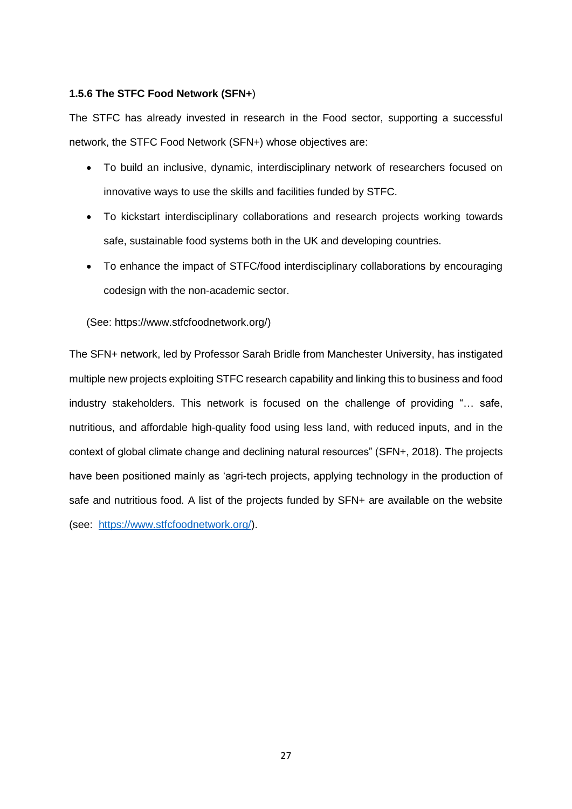#### **1.5.6 The STFC Food Network (SFN+**)

The STFC has already invested in research in the Food sector, supporting a successful network, the STFC Food Network (SFN+) whose objectives are:

- To build an inclusive, dynamic, interdisciplinary network of researchers focused on innovative ways to use the skills and facilities funded by STFC.
- To kickstart interdisciplinary collaborations and research projects working towards safe, sustainable food systems both in the UK and developing countries.
- To enhance the impact of STFC/food interdisciplinary collaborations by encouraging codesign with the non-academic sector.

#### (See: https://www.stfcfoodnetwork.org/)

The SFN+ network, led by Professor Sarah Bridle from Manchester University, has instigated multiple new projects exploiting STFC research capability and linking this to business and food industry stakeholders. This network is focused on the challenge of providing "… safe, nutritious, and affordable high-quality food using less land, with reduced inputs, and in the context of global climate change and declining natural resources" (SFN+, 2018). The projects have been positioned mainly as 'agri-tech projects, applying technology in the production of safe and nutritious food. A list of the projects funded by SFN+ are available on the website (see: [https://www.stfcfoodnetwork.org/\)](https://www.stfcfoodnetwork.org/).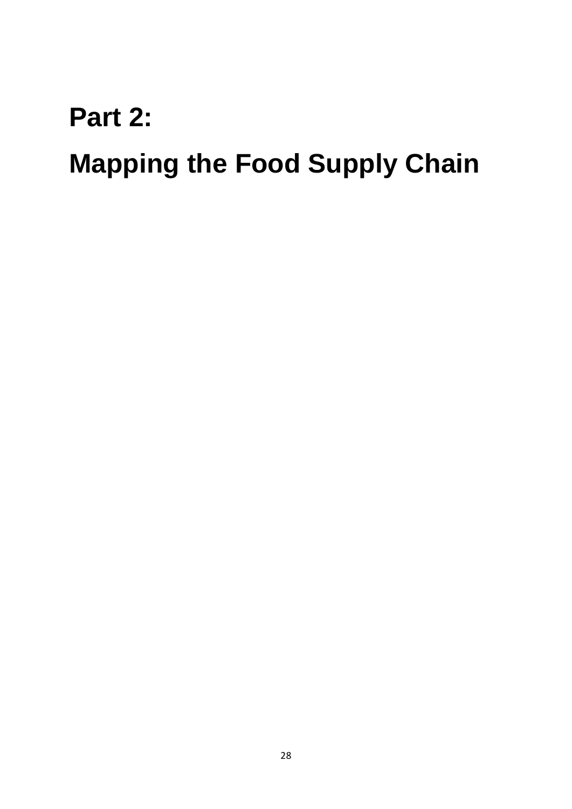## **Part 2:**

# **Mapping the Food Supply Chain**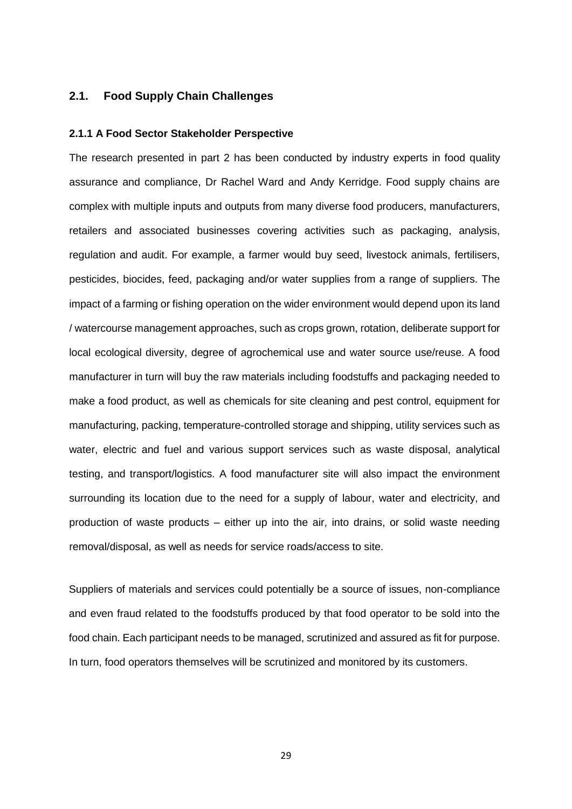#### **2.1. Food Supply Chain Challenges**

#### **2.1.1 A Food Sector Stakeholder Perspective**

The research presented in part 2 has been conducted by industry experts in food quality assurance and compliance, Dr Rachel Ward and Andy Kerridge. Food supply chains are complex with multiple inputs and outputs from many diverse food producers, manufacturers, retailers and associated businesses covering activities such as packaging, analysis, regulation and audit. For example, a farmer would buy seed, livestock animals, fertilisers, pesticides, biocides, feed, packaging and/or water supplies from a range of suppliers. The impact of a farming or fishing operation on the wider environment would depend upon its land / watercourse management approaches, such as crops grown, rotation, deliberate support for local ecological diversity, degree of agrochemical use and water source use/reuse. A food manufacturer in turn will buy the raw materials including foodstuffs and packaging needed to make a food product, as well as chemicals for site cleaning and pest control, equipment for manufacturing, packing, temperature-controlled storage and shipping, utility services such as water, electric and fuel and various support services such as waste disposal, analytical testing, and transport/logistics. A food manufacturer site will also impact the environment surrounding its location due to the need for a supply of labour, water and electricity, and production of waste products – either up into the air, into drains, or solid waste needing removal/disposal, as well as needs for service roads/access to site.

Suppliers of materials and services could potentially be a source of issues, non-compliance and even fraud related to the foodstuffs produced by that food operator to be sold into the food chain. Each participant needs to be managed, scrutinized and assured as fit for purpose. In turn, food operators themselves will be scrutinized and monitored by its customers.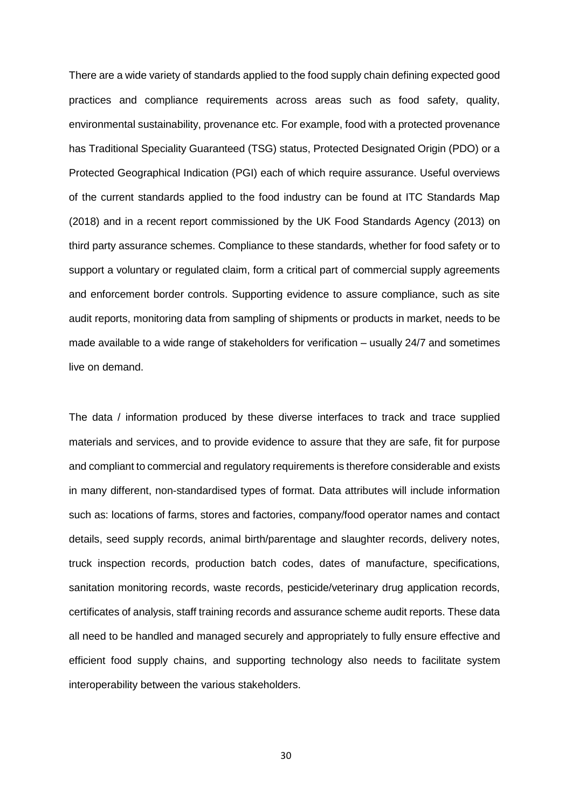There are a wide variety of standards applied to the food supply chain defining expected good practices and compliance requirements across areas such as food safety, quality, environmental sustainability, provenance etc. For example, food with a protected provenance has Traditional Speciality Guaranteed (TSG) status, Protected Designated Origin (PDO) or a Protected Geographical Indication (PGI) each of which require assurance. Useful overviews of the current standards applied to the food industry can be found at ITC Standards Map (2018) and in a recent report commissioned by the UK Food Standards Agency (2013) on third party assurance schemes. Compliance to these standards, whether for food safety or to support a voluntary or regulated claim, form a critical part of commercial supply agreements and enforcement border controls. Supporting evidence to assure compliance, such as site audit reports, monitoring data from sampling of shipments or products in market, needs to be made available to a wide range of stakeholders for verification – usually 24/7 and sometimes live on demand.

The data / information produced by these diverse interfaces to track and trace supplied materials and services, and to provide evidence to assure that they are safe, fit for purpose and compliant to commercial and regulatory requirements is therefore considerable and exists in many different, non-standardised types of format. Data attributes will include information such as: locations of farms, stores and factories, company/food operator names and contact details, seed supply records, animal birth/parentage and slaughter records, delivery notes, truck inspection records, production batch codes, dates of manufacture, specifications, sanitation monitoring records, waste records, pesticide/veterinary drug application records, certificates of analysis, staff training records and assurance scheme audit reports. These data all need to be handled and managed securely and appropriately to fully ensure effective and efficient food supply chains, and supporting technology also needs to facilitate system interoperability between the various stakeholders.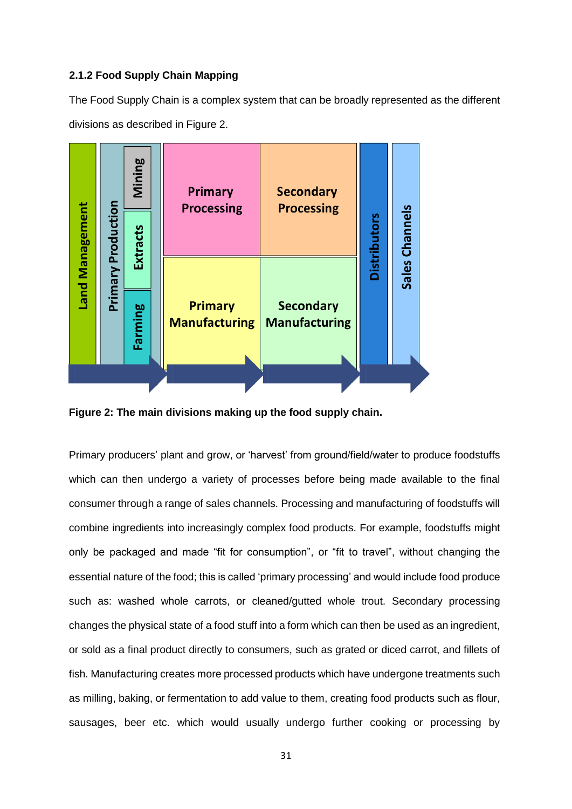#### **2.1.2 Food Supply Chain Mapping**

The Food Supply Chain is a complex system that can be broadly represented as the different divisions as described in Figure 2.



**Figure 2: The main divisions making up the food supply chain.**

Primary producers' plant and grow, or 'harvest' from ground/field/water to produce foodstuffs which can then undergo a variety of processes before being made available to the final consumer through a range of sales channels. Processing and manufacturing of foodstuffs will combine ingredients into increasingly complex food products. For example, foodstuffs might only be packaged and made "fit for consumption", or "fit to travel", without changing the essential nature of the food; this is called 'primary processing' and would include food produce such as: washed whole carrots, or cleaned/gutted whole trout. Secondary processing changes the physical state of a food stuff into a form which can then be used as an ingredient, or sold as a final product directly to consumers, such as grated or diced carrot, and fillets of fish. Manufacturing creates more processed products which have undergone treatments such as milling, baking, or fermentation to add value to them, creating food products such as flour, sausages, beer etc. which would usually undergo further cooking or processing by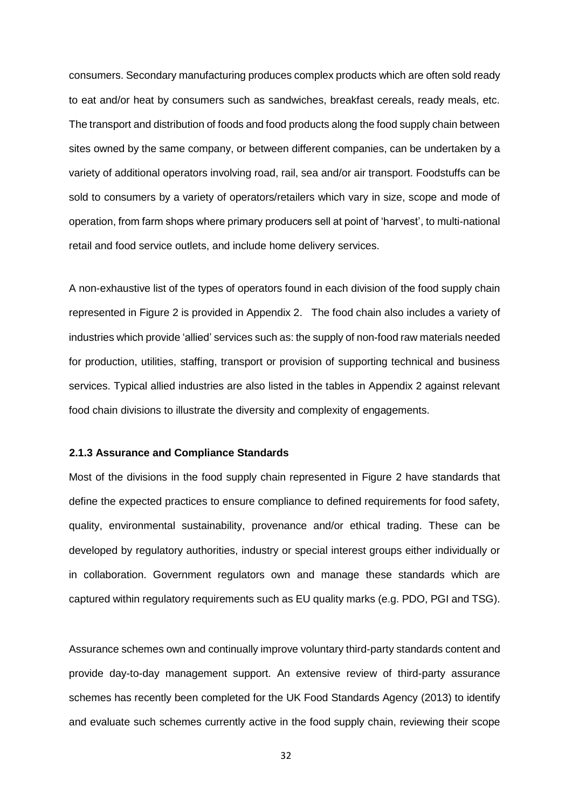consumers. Secondary manufacturing produces complex products which are often sold ready to eat and/or heat by consumers such as sandwiches, breakfast cereals, ready meals, etc. The transport and distribution of foods and food products along the food supply chain between sites owned by the same company, or between different companies, can be undertaken by a variety of additional operators involving road, rail, sea and/or air transport. Foodstuffs can be sold to consumers by a variety of operators/retailers which vary in size, scope and mode of operation, from farm shops where primary producers sell at point of 'harvest', to multi-national retail and food service outlets, and include home delivery services.

A non-exhaustive list of the types of operators found in each division of the food supply chain represented in Figure 2 is provided in Appendix 2. The food chain also includes a variety of industries which provide 'allied' services such as: the supply of non-food raw materials needed for production, utilities, staffing, transport or provision of supporting technical and business services. Typical allied industries are also listed in the tables in Appendix 2 against relevant food chain divisions to illustrate the diversity and complexity of engagements.

#### **2.1.3 Assurance and Compliance Standards**

Most of the divisions in the food supply chain represented in Figure 2 have standards that define the expected practices to ensure compliance to defined requirements for food safety, quality, environmental sustainability, provenance and/or ethical trading. These can be developed by regulatory authorities, industry or special interest groups either individually or in collaboration. Government regulators own and manage these standards which are captured within regulatory requirements such as EU quality marks (e.g. PDO, PGI and TSG).

Assurance schemes own and continually improve voluntary third-party standards content and provide day-to-day management support. An extensive review of third-party assurance schemes has recently been completed for the UK Food Standards Agency (2013) to identify and evaluate such schemes currently active in the food supply chain, reviewing their scope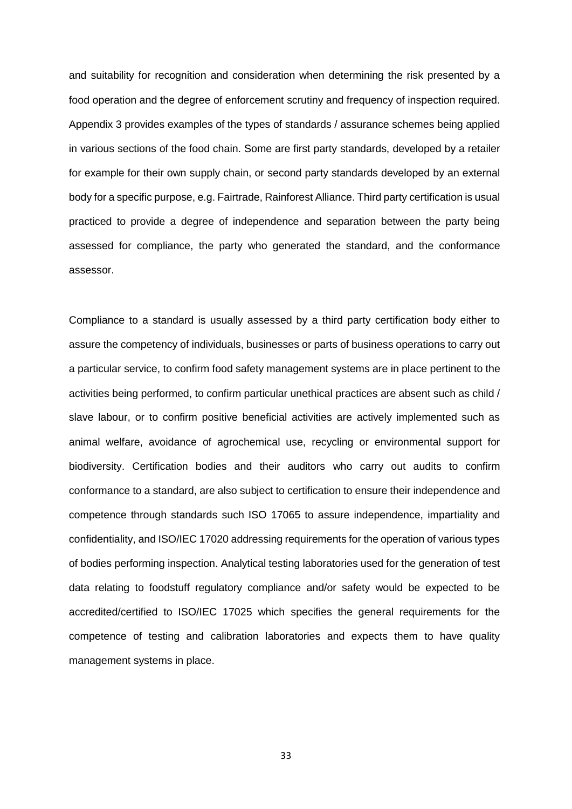and suitability for recognition and consideration when determining the risk presented by a food operation and the degree of enforcement scrutiny and frequency of inspection required. Appendix 3 provides examples of the types of standards / assurance schemes being applied in various sections of the food chain. Some are first party standards, developed by a retailer for example for their own supply chain, or second party standards developed by an external body for a specific purpose, e.g. Fairtrade, Rainforest Alliance. Third party certification is usual practiced to provide a degree of independence and separation between the party being assessed for compliance, the party who generated the standard, and the conformance assessor.

Compliance to a standard is usually assessed by a third party certification body either to assure the competency of individuals, businesses or parts of business operations to carry out a particular service, to confirm food safety management systems are in place pertinent to the activities being performed, to confirm particular unethical practices are absent such as child / slave labour, or to confirm positive beneficial activities are actively implemented such as animal welfare, avoidance of agrochemical use, recycling or environmental support for biodiversity. Certification bodies and their auditors who carry out audits to confirm conformance to a standard, are also subject to certification to ensure their independence and competence through standards such ISO 17065 to assure independence, impartiality and confidentiality, and ISO/IEC 17020 addressing requirements for the operation of various types of bodies performing inspection. Analytical testing laboratories used for the generation of test data relating to foodstuff regulatory compliance and/or safety would be expected to be accredited/certified to ISO/IEC 17025 which specifies the general requirements for the competence of testing and calibration laboratories and expects them to have quality management systems in place.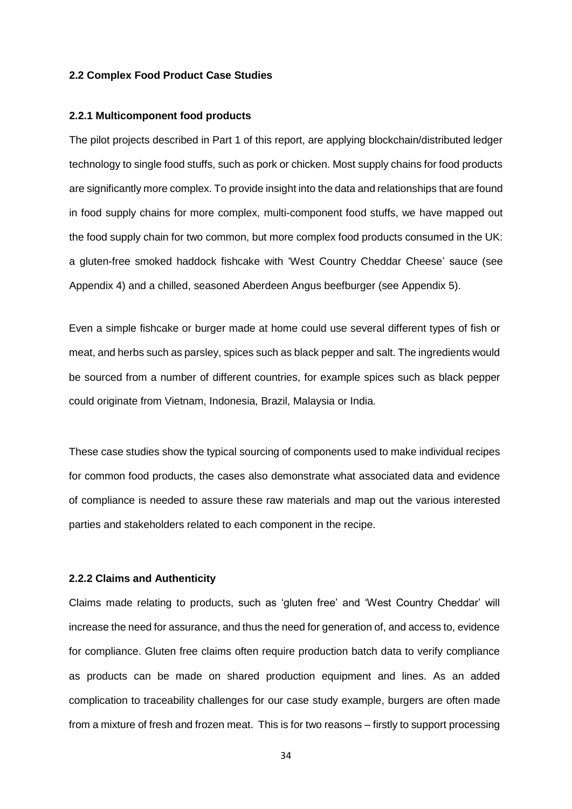#### **2.2 Complex Food Product Case Studies**

#### **2.2.1 Multicomponent food products**

The pilot projects described in Part 1 of this report, are applying blockchain/distributed ledger technology to single food stuffs, such as pork or chicken. Most supply chains for food products are significantly more complex. To provide insight into the data and relationships that are found in food supply chains for more complex, multi-component food stuffs, we have mapped out the food supply chain for two common, but more complex food products consumed in the UK: a gluten-free smoked haddock fishcake with 'West Country Cheddar Cheese' sauce (see Appendix 4) and a chilled, seasoned Aberdeen Angus beefburger (see Appendix 5).

Even a simple fishcake or burger made at home could use several different types of fish or meat, and herbs such as parsley, spices such as black pepper and salt. The ingredients would be sourced from a number of different countries, for example spices such as black pepper could originate from Vietnam, Indonesia, Brazil, Malaysia or India.

These case studies show the typical sourcing of components used to make individual recipes for common food products, the cases also demonstrate what associated data and evidence of compliance is needed to assure these raw materials and map out the various interested parties and stakeholders related to each component in the recipe.

#### **2.2.2 Claims and Authenticity**

Claims made relating to products, such as 'gluten free' and 'West Country Cheddar' will increase the need for assurance, and thus the need for generation of, and access to, evidence for compliance. Gluten free claims often require production batch data to verify compliance as products can be made on shared production equipment and lines. As an added complication to traceability challenges for our case study example, burgers are often made from a mixture of fresh and frozen meat. This is for two reasons – firstly to support processing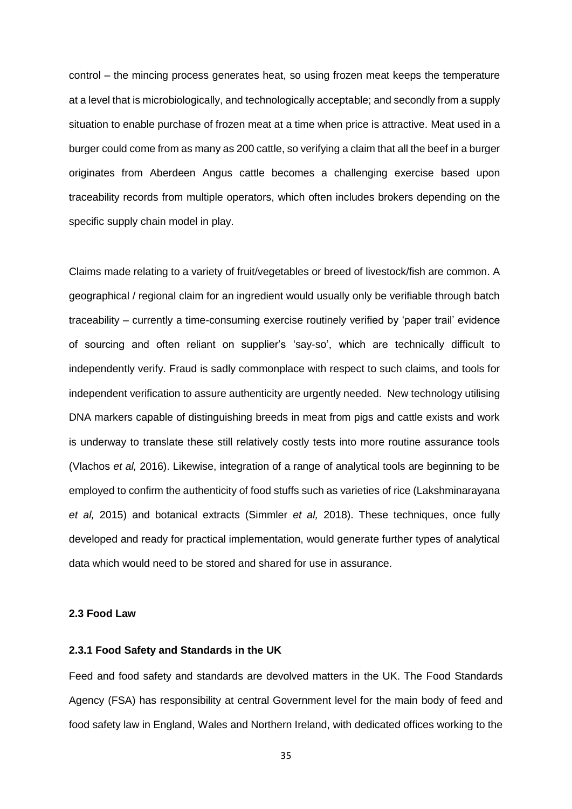control – the mincing process generates heat, so using frozen meat keeps the temperature at a level that is microbiologically, and technologically acceptable; and secondly from a supply situation to enable purchase of frozen meat at a time when price is attractive. Meat used in a burger could come from as many as 200 cattle, so verifying a claim that all the beef in a burger originates from Aberdeen Angus cattle becomes a challenging exercise based upon traceability records from multiple operators, which often includes brokers depending on the specific supply chain model in play.

Claims made relating to a variety of fruit/vegetables or breed of livestock/fish are common. A geographical / regional claim for an ingredient would usually only be verifiable through batch traceability – currently a time-consuming exercise routinely verified by 'paper trail' evidence of sourcing and often reliant on supplier's 'say-so', which are technically difficult to independently verify. Fraud is sadly commonplace with respect to such claims, and tools for independent verification to assure authenticity are urgently needed. New technology utilising DNA markers capable of distinguishing breeds in meat from pigs and cattle exists and work is underway to translate these still relatively costly tests into more routine assurance tools (Vlachos *et al,* 2016). Likewise, integration of a range of analytical tools are beginning to be employed to confirm the authenticity of food stuffs such as varieties of rice (Lakshminarayana *et al,* 2015) and botanical extracts (Simmler *et al,* 2018). These techniques, once fully developed and ready for practical implementation, would generate further types of analytical data which would need to be stored and shared for use in assurance.

#### **2.3 Food Law**

#### **2.3.1 Food Safety and Standards in the UK**

Feed and food safety and standards are devolved matters in the UK. The Food Standards Agency (FSA) has responsibility at central Government level for the main body of feed and food safety law in England, Wales and Northern Ireland, with dedicated offices working to the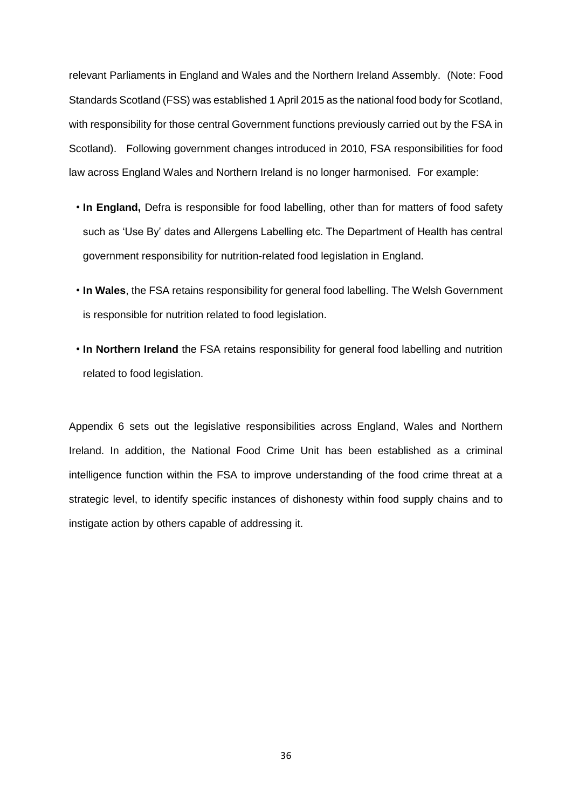relevant Parliaments in England and Wales and the Northern Ireland Assembly. (Note: Food Standards Scotland (FSS) was established 1 April 2015 as the national food body for Scotland, with responsibility for those central Government functions previously carried out by the FSA in Scotland). Following government changes introduced in 2010, FSA responsibilities for food law across England Wales and Northern Ireland is no longer harmonised. For example:

- **In England,** Defra is responsible for food labelling, other than for matters of food safety such as 'Use By' dates and Allergens Labelling etc. The Department of Health has central government responsibility for nutrition-related food legislation in England.
- **In Wales**, the FSA retains responsibility for general food labelling. The Welsh Government is responsible for nutrition related to food legislation.
- **In Northern Ireland** the FSA retains responsibility for general food labelling and nutrition related to food legislation.

Appendix 6 sets out the legislative responsibilities across England, Wales and Northern Ireland. In addition, the National Food Crime Unit has been established as a criminal intelligence function within the FSA to improve understanding of the food crime threat at a strategic level, to identify specific instances of dishonesty within food supply chains and to instigate action by others capable of addressing it.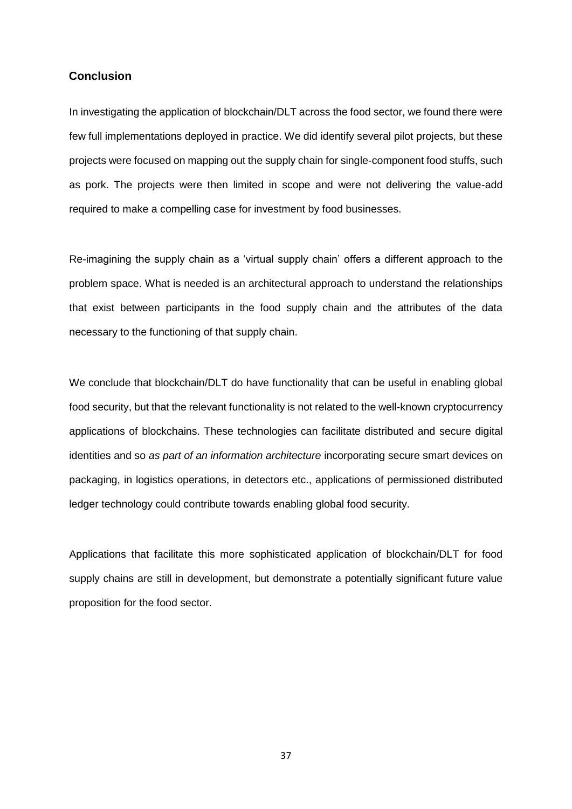#### **Conclusion**

In investigating the application of blockchain/DLT across the food sector, we found there were few full implementations deployed in practice. We did identify several pilot projects, but these projects were focused on mapping out the supply chain for single-component food stuffs, such as pork. The projects were then limited in scope and were not delivering the value-add required to make a compelling case for investment by food businesses.

Re-imagining the supply chain as a 'virtual supply chain' offers a different approach to the problem space. What is needed is an architectural approach to understand the relationships that exist between participants in the food supply chain and the attributes of the data necessary to the functioning of that supply chain.

We conclude that blockchain/DLT do have functionality that can be useful in enabling global food security, but that the relevant functionality is not related to the well-known cryptocurrency applications of blockchains. These technologies can facilitate distributed and secure digital identities and so *as part of an information architecture* incorporating secure smart devices on packaging, in logistics operations, in detectors etc., applications of permissioned distributed ledger technology could contribute towards enabling global food security.

Applications that facilitate this more sophisticated application of blockchain/DLT for food supply chains are still in development, but demonstrate a potentially significant future value proposition for the food sector.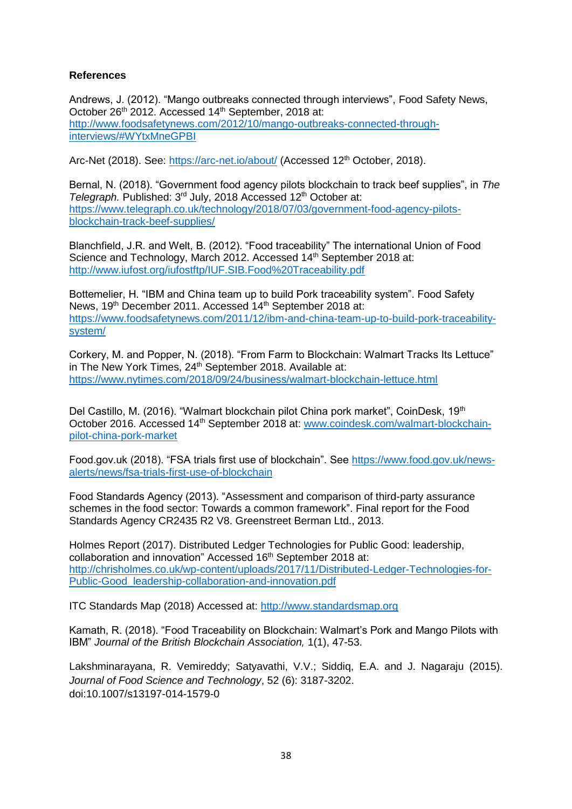#### **References**

Andrews, J. (2012). "Mango outbreaks connected through interviews", Food Safety News, October 26<sup>th</sup> 2012. Accessed 14<sup>th</sup> September, 2018 at: [http://www.foodsafetynews.com/2012/10/mango-outbreaks-connected-through](http://www.foodsafetynews.com/2012/10/mango-outbreaks-connected-through-interviews/#WYtxMneGPBI)[interviews/#WYtxMneGPBI](http://www.foodsafetynews.com/2012/10/mango-outbreaks-connected-through-interviews/#WYtxMneGPBI)

Arc-Net (2018). See:<https://arc-net.io/about/> (Accessed 12<sup>th</sup> October, 2018).

Bernal, N. (2018). "Government food agency pilots blockchain to track beef supplies", in *The Telegraph.* Published: 3<sup>rd</sup> July, 2018 Accessed 12<sup>th</sup> October at: [https://www.telegraph.co.uk/technology/2018/07/03/government-food-agency-pilots](https://www.telegraph.co.uk/technology/2018/07/03/government-food-agency-pilots-blockchain-track-beef-supplies/)[blockchain-track-beef-supplies/](https://www.telegraph.co.uk/technology/2018/07/03/government-food-agency-pilots-blockchain-track-beef-supplies/)

Blanchfield, J.R. and Welt, B. (2012). "Food traceability" The international Union of Food Science and Technology, March 2012. Accessed 14<sup>th</sup> September 2018 at: <http://www.iufost.org/iufostftp/IUF.SIB.Food%20Traceability.pdf>

Bottemelier, H. "IBM and China team up to build Pork traceability system". Food Safety News, 19<sup>th</sup> December 2011. Accessed 14<sup>th</sup> September 2018 at: [https://www.foodsafetynews.com/2011/12/ibm-and-china-team-up-to-build-pork-traceability](https://www.foodsafetynews.com/2011/12/ibm-and-china-team-up-to-build-pork-traceability-system/)[system/](https://www.foodsafetynews.com/2011/12/ibm-and-china-team-up-to-build-pork-traceability-system/)

Corkery, M. and Popper, N. (2018). "From Farm to Blockchain: Walmart Tracks Its Lettuce" in The New York Times, 24<sup>th</sup> September 2018. Available at: <https://www.nytimes.com/2018/09/24/business/walmart-blockchain-lettuce.html>

Del Castillo, M. (2016). "Walmart blockchain pilot China pork market", CoinDesk, 19<sup>th</sup> October 2016. Accessed 14<sup>th</sup> September 2018 at: [www.coindesk.com/walmart-blockchain](http://www.coindesk.com/walmart-blockchain-pilot-china-pork-market)[pilot-china-pork-market](http://www.coindesk.com/walmart-blockchain-pilot-china-pork-market)

Food.gov.uk (2018). "FSA trials first use of blockchain". See [https://www.food.gov.uk/news](https://www.food.gov.uk/news-alerts/news/fsa-trials-first-use-of-blockchain)[alerts/news/fsa-trials-first-use-of-blockchain](https://www.food.gov.uk/news-alerts/news/fsa-trials-first-use-of-blockchain)

Food Standards Agency (2013). "Assessment and comparison of third-party assurance schemes in the food sector: Towards a common framework". Final report for the Food Standards Agency CR2435 R2 V8. Greenstreet Berman Ltd., 2013.

Holmes Report (2017). Distributed Ledger Technologies for Public Good: leadership, collaboration and innovation" Accessed 16<sup>th</sup> September 2018 at: [http://chrisholmes.co.uk/wp-content/uploads/2017/11/Distributed-Ledger-Technologies-for-](http://chrisholmes.co.uk/wp-content/uploads/2017/11/Distributed-Ledger-Technologies-for-Public-Good_leadership-collaboration-and-innovation.pdf)[Public-Good\\_leadership-collaboration-and-innovation.pdf](http://chrisholmes.co.uk/wp-content/uploads/2017/11/Distributed-Ledger-Technologies-for-Public-Good_leadership-collaboration-and-innovation.pdf)

ITC Standards Map (2018) Accessed at: [http://www.standardsmap.org](http://www.standardsmap.org/)

Kamath, R. (2018). "Food Traceability on Blockchain: Walmart's Pork and Mango Pilots with IBM" *Journal of the British Blockchain Association,* 1(1), 47-53.

Lakshminarayana, R. Vemireddy; Satyavathi, V.V.; Siddiq, E.A. and J. Nagaraju (2015). *Journal of Food Science and Technology*, 52 (6): 3187-3202. doi:10.1007/s13197-014-1579-0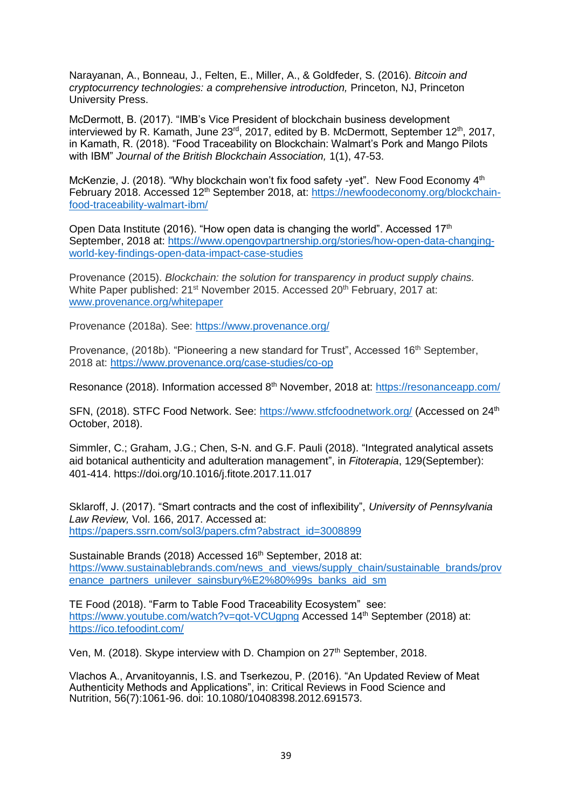Narayanan, A., Bonneau, J., Felten, E., Miller, A., & Goldfeder, S. (2016). *Bitcoin and cryptocurrency technologies: a comprehensive introduction,* Princeton, NJ, Princeton University Press.

McDermott, B. (2017). "IMB's Vice President of blockchain business development interviewed by R. Kamath, June  $23^{rd}$ , 2017, edited by B. McDermott, September 12<sup>th</sup>, 2017, in Kamath, R. (2018). "Food Traceability on Blockchain: Walmart's Pork and Mango Pilots with IBM" *Journal of the British Blockchain Association,* 1(1), 47-53.

McKenzie, J. (2018). "Why blockchain won't fix food safety -yet". New Food Economy 4<sup>th</sup> February 2018. Accessed 12<sup>th</sup> September 2018, at: [https://newfoodeconomy.org/blockchain](https://newfoodeconomy.org/blockchain-food-traceability-walmart-ibm/)[food-traceability-walmart-ibm/](https://newfoodeconomy.org/blockchain-food-traceability-walmart-ibm/)

Open Data Institute (2016). "How open data is changing the world". Accessed  $17<sup>th</sup>$ September, 2018 at: [https://www.opengovpartnership.org/stories/how-open-data-changing](https://www.opengovpartnership.org/stories/how-open-data-changing-world-key-findings-open-data-impact-case-studies)[world-key-findings-open-data-impact-case-studies](https://www.opengovpartnership.org/stories/how-open-data-changing-world-key-findings-open-data-impact-case-studies)

Provenance (2015). *Blockchain: the solution for transparency in product supply chains.*  White Paper published: 21<sup>st</sup> November 2015. Accessed 20<sup>th</sup> February, 2017 at: [www.provenance.org/whitepaper](http://www.provenance.org/whitepaper)

Provenance (2018a). See:<https://www.provenance.org/>

Provenance,  $(2018b)$ . "Pioneering a new standard for Trust", Accessed  $16<sup>th</sup>$  September, 2018 at:<https://www.provenance.org/case-studies/co-op>

Resonance (2018). Information accessed 8<sup>th</sup> November, 2018 at:<https://resonanceapp.com/>

SFN, (2018). STFC Food Network. See:<https://www.stfcfoodnetwork.org/> (Accessed on 24th October, 2018).

Simmler, C.; Graham, J.G.; Chen, S-N. and G.F. Pauli (2018). "Integrated analytical assets aid botanical authenticity and adulteration management", in *Fitoterapia*, 129(September): 401-414. https://doi.org/10.1016/j.fitote.2017.11.017

Sklaroff, J. (2017). "Smart contracts and the cost of inflexibility", *University of Pennsylvania Law Review,* Vol. 166, 2017. Accessed at: [https://papers.ssrn.com/sol3/papers.cfm?abstract\\_id=3008899](https://papers.ssrn.com/sol3/papers.cfm?abstract_id=3008899)

Sustainable Brands (2018) Accessed 16<sup>th</sup> September, 2018 at: [https://www.sustainablebrands.com/news\\_and\\_views/supply\\_chain/sustainable\\_brands/prov](https://www.sustainablebrands.com/news_and_views/supply_chain/sustainable_brands/provenance_partners_unilever_sainsbury%E2%80%99s_banks_aid_sm) [enance\\_partners\\_unilever\\_sainsbury%E2%80%99s\\_banks\\_aid\\_sm](https://www.sustainablebrands.com/news_and_views/supply_chain/sustainable_brands/provenance_partners_unilever_sainsbury%E2%80%99s_banks_aid_sm)

TE Food (2018). "Farm to Table Food Traceability Ecosystem" see: https://www.youtube.com/watch?v=qot-VCUqpng Accessed 14<sup>th</sup> September (2018) at: <https://ico.tefoodint.com/>

Ven, M. (2018). Skype interview with D. Champion on 27<sup>th</sup> September, 2018.

Vlachos A., Arvanitoyannis, I.S. and Tserkezou, P. (2016). "An Updated Review of Meat Authenticity Methods and Applications", in: Critical Reviews in Food Science and Nutrition, 56(7):1061-96. doi: 10.1080/10408398.2012.691573.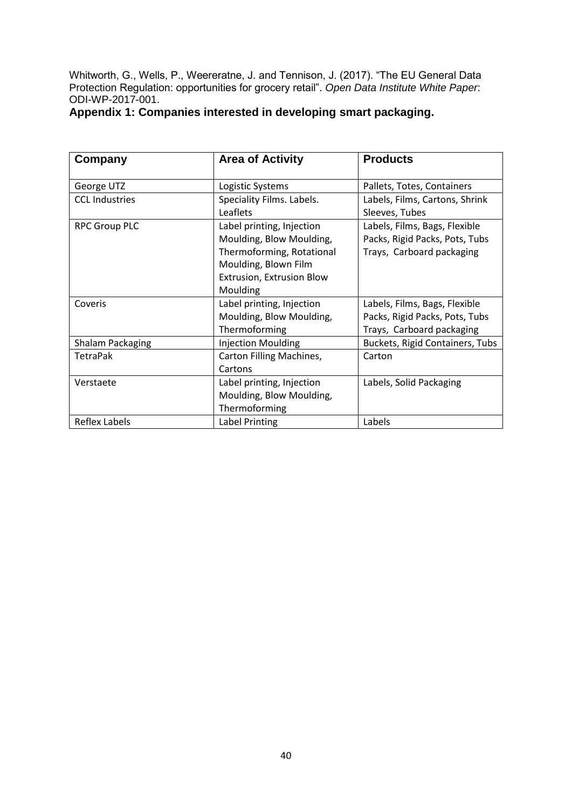Whitworth, G., Wells, P., Weereratne, J. and Tennison, J. (2017). "The EU General Data Protection Regulation: opportunities for grocery retail". *Open Data Institute White Paper*: ODI-WP-2017-001.

### **Appendix 1: Companies interested in developing smart packaging.**

| Company               | <b>Area of Activity</b>   | <b>Products</b>                 |
|-----------------------|---------------------------|---------------------------------|
| George UTZ            | Logistic Systems          | Pallets, Totes, Containers      |
| <b>CCL Industries</b> | Speciality Films. Labels. | Labels, Films, Cartons, Shrink  |
|                       | Leaflets                  | Sleeves, Tubes                  |
| <b>RPC Group PLC</b>  | Label printing, Injection | Labels, Films, Bags, Flexible   |
|                       | Moulding, Blow Moulding,  | Packs, Rigid Packs, Pots, Tubs  |
|                       | Thermoforming, Rotational | Trays, Carboard packaging       |
|                       | Moulding, Blown Film      |                                 |
|                       | Extrusion, Extrusion Blow |                                 |
|                       | Moulding                  |                                 |
| Coveris               | Label printing, Injection | Labels, Films, Bags, Flexible   |
|                       | Moulding, Blow Moulding,  | Packs, Rigid Packs, Pots, Tubs  |
|                       | Thermoforming             | Trays, Carboard packaging       |
| Shalam Packaging      | <b>Injection Moulding</b> | Buckets, Rigid Containers, Tubs |
| <b>TetraPak</b>       | Carton Filling Machines,  | Carton                          |
|                       | Cartons                   |                                 |
| Verstaete             | Label printing, Injection | Labels, Solid Packaging         |
|                       | Moulding, Blow Moulding,  |                                 |
|                       | Thermoforming             |                                 |
| Reflex Labels         | Label Printing            | Labels                          |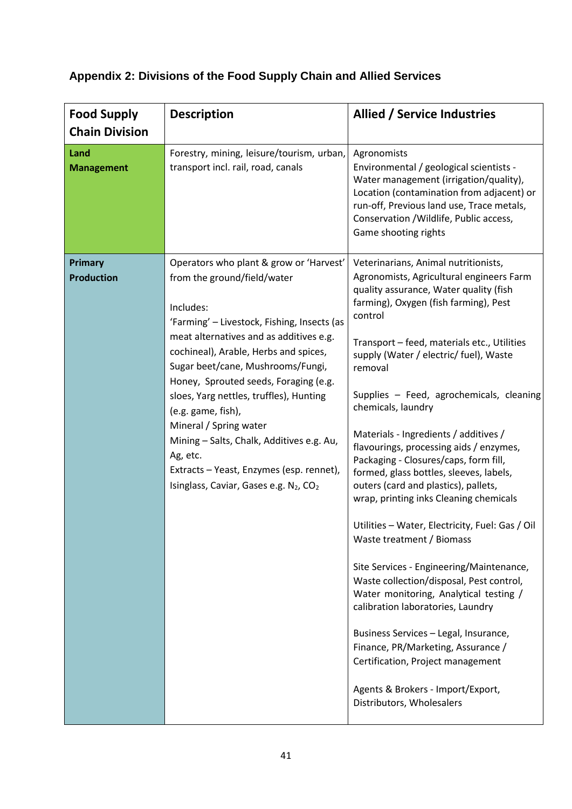## **Appendix 2: Divisions of the Food Supply Chain and Allied Services**

| <b>Food Supply</b><br><b>Chain Division</b> | <b>Description</b>                                                                                                                                                                                                                                                                                                                                                                                                                                                                                                                                                     | Allied / Service Industries                                                                                                                                                                                                                                                                                                                                                                                                                                                                                                                                                                                                                                                                                                                                                                                                                                                                                                                                                                                                                                 |
|---------------------------------------------|------------------------------------------------------------------------------------------------------------------------------------------------------------------------------------------------------------------------------------------------------------------------------------------------------------------------------------------------------------------------------------------------------------------------------------------------------------------------------------------------------------------------------------------------------------------------|-------------------------------------------------------------------------------------------------------------------------------------------------------------------------------------------------------------------------------------------------------------------------------------------------------------------------------------------------------------------------------------------------------------------------------------------------------------------------------------------------------------------------------------------------------------------------------------------------------------------------------------------------------------------------------------------------------------------------------------------------------------------------------------------------------------------------------------------------------------------------------------------------------------------------------------------------------------------------------------------------------------------------------------------------------------|
| Land<br><b>Management</b>                   | Forestry, mining, leisure/tourism, urban,<br>transport incl. rail, road, canals                                                                                                                                                                                                                                                                                                                                                                                                                                                                                        | Agronomists<br>Environmental / geological scientists -<br>Water management (irrigation/quality),<br>Location (contamination from adjacent) or<br>run-off, Previous land use, Trace metals,<br>Conservation /Wildlife, Public access,<br>Game shooting rights                                                                                                                                                                                                                                                                                                                                                                                                                                                                                                                                                                                                                                                                                                                                                                                                |
| <b>Primary</b><br><b>Production</b>         | Operators who plant & grow or 'Harvest'<br>from the ground/field/water<br>Includes:<br>'Farming' - Livestock, Fishing, Insects (as<br>meat alternatives and as additives e.g.<br>cochineal), Arable, Herbs and spices,<br>Sugar beet/cane, Mushrooms/Fungi,<br>Honey, Sprouted seeds, Foraging (e.g.<br>sloes, Yarg nettles, truffles), Hunting<br>(e.g. game, fish),<br>Mineral / Spring water<br>Mining - Salts, Chalk, Additives e.g. Au,<br>Ag, etc.<br>Extracts - Yeast, Enzymes (esp. rennet),<br>Isinglass, Caviar, Gases e.g. N <sub>2</sub> , CO <sub>2</sub> | Veterinarians, Animal nutritionists,<br>Agronomists, Agricultural engineers Farm<br>quality assurance, Water quality (fish<br>farming), Oxygen (fish farming), Pest<br>control<br>Transport - feed, materials etc., Utilities<br>supply (Water / electric/ fuel), Waste<br>removal<br>Supplies - Feed, agrochemicals, cleaning<br>chemicals, laundry<br>Materials - Ingredients / additives /<br>flavourings, processing aids / enzymes,<br>Packaging - Closures/caps, form fill,<br>formed, glass bottles, sleeves, labels,<br>outers (card and plastics), pallets,<br>wrap, printing inks Cleaning chemicals<br>Utilities - Water, Electricity, Fuel: Gas / Oil<br>Waste treatment / Biomass<br>Site Services - Engineering/Maintenance,<br>Waste collection/disposal, Pest control,<br>Water monitoring, Analytical testing /<br>calibration laboratories, Laundry<br>Business Services - Legal, Insurance,<br>Finance, PR/Marketing, Assurance /<br>Certification, Project management<br>Agents & Brokers - Import/Export,<br>Distributors, Wholesalers |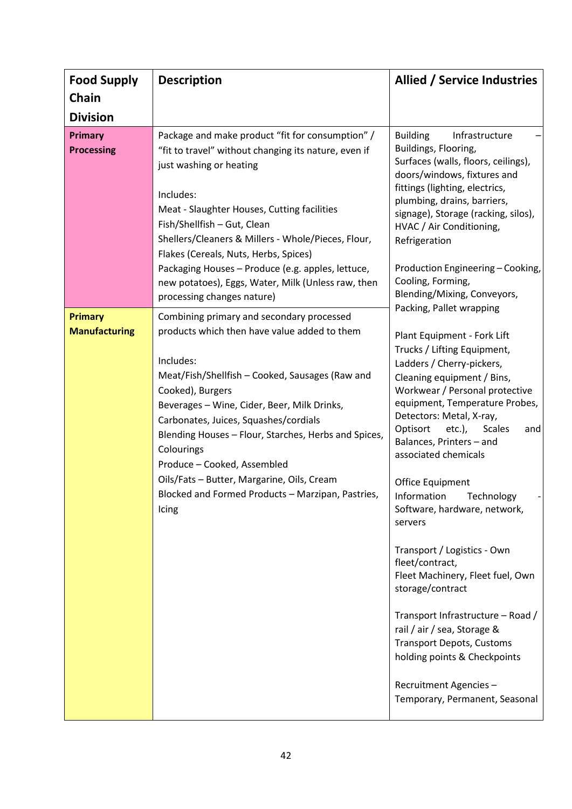| <b>Food Supply</b>                                     | <b>Description</b>                                                                                                                                                                                                                                                                                                                                                                                                                                                                     | Allied / Service Industries                                                                                                                                                                                                                                                                                                                                                                                                                                                                                                                                                                                                                                                                                                                                   |
|--------------------------------------------------------|----------------------------------------------------------------------------------------------------------------------------------------------------------------------------------------------------------------------------------------------------------------------------------------------------------------------------------------------------------------------------------------------------------------------------------------------------------------------------------------|---------------------------------------------------------------------------------------------------------------------------------------------------------------------------------------------------------------------------------------------------------------------------------------------------------------------------------------------------------------------------------------------------------------------------------------------------------------------------------------------------------------------------------------------------------------------------------------------------------------------------------------------------------------------------------------------------------------------------------------------------------------|
| Chain                                                  |                                                                                                                                                                                                                                                                                                                                                                                                                                                                                        |                                                                                                                                                                                                                                                                                                                                                                                                                                                                                                                                                                                                                                                                                                                                                               |
| <b>Division</b><br><b>Primary</b><br><b>Processing</b> | Package and make product "fit for consumption" /<br>"fit to travel" without changing its nature, even if<br>just washing or heating<br>Includes:<br>Meat - Slaughter Houses, Cutting facilities<br>Fish/Shellfish - Gut, Clean<br>Shellers/Cleaners & Millers - Whole/Pieces, Flour,<br>Flakes (Cereals, Nuts, Herbs, Spices)<br>Packaging Houses - Produce (e.g. apples, lettuce,<br>new potatoes), Eggs, Water, Milk (Unless raw, then<br>processing changes nature)                 | <b>Building</b><br>Infrastructure<br>Buildings, Flooring,<br>Surfaces (walls, floors, ceilings),<br>doors/windows, fixtures and<br>fittings (lighting, electrics,<br>plumbing, drains, barriers,<br>signage), Storage (racking, silos),<br>HVAC / Air Conditioning,<br>Refrigeration<br>Production Engineering - Cooking,<br>Cooling, Forming,<br>Blending/Mixing, Conveyors,                                                                                                                                                                                                                                                                                                                                                                                 |
| <b>Primary</b><br><b>Manufacturing</b>                 | Combining primary and secondary processed<br>products which then have value added to them<br>Includes:<br>Meat/Fish/Shellfish - Cooked, Sausages (Raw and<br>Cooked), Burgers<br>Beverages - Wine, Cider, Beer, Milk Drinks,<br>Carbonates, Juices, Squashes/cordials<br>Blending Houses - Flour, Starches, Herbs and Spices,<br>Colourings<br>Produce - Cooked, Assembled<br>Oils/Fats - Butter, Margarine, Oils, Cream<br>Blocked and Formed Products - Marzipan, Pastries,<br>Icing | Packing, Pallet wrapping<br>Plant Equipment - Fork Lift<br>Trucks / Lifting Equipment,<br>Ladders / Cherry-pickers,<br>Cleaning equipment / Bins,<br>Workwear / Personal protective<br>equipment, Temperature Probes,<br>Detectors: Metal, X-ray,<br>Optisort<br>etc.),<br><b>Scales</b><br>and<br>Balances, Printers - and<br>associated chemicals<br>Office Equipment<br>Information<br>Technology<br>Software, hardware, network,<br>servers<br>Transport / Logistics - Own<br>fleet/contract,<br>Fleet Machinery, Fleet fuel, Own<br>storage/contract<br>Transport Infrastructure - Road /<br>rail / air / sea, Storage &<br><b>Transport Depots, Customs</b><br>holding points & Checkpoints<br>Recruitment Agencies -<br>Temporary, Permanent, Seasonal |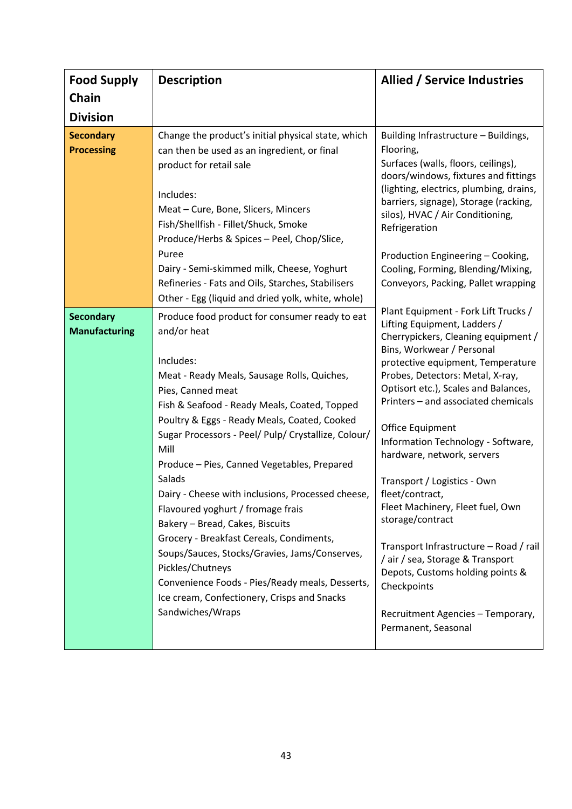| <b>Food Supply</b><br>Chain<br><b>Division</b> | <b>Description</b>                                                                                                                                                                                                                                                                                                                                                                                                                                                                                                                                                                                                                                                                                                                         | <b>Allied / Service Industries</b>                                                                                                                                                                                                                                                                                                                                                                                                                                                                                                                                                                                                                                                             |
|------------------------------------------------|--------------------------------------------------------------------------------------------------------------------------------------------------------------------------------------------------------------------------------------------------------------------------------------------------------------------------------------------------------------------------------------------------------------------------------------------------------------------------------------------------------------------------------------------------------------------------------------------------------------------------------------------------------------------------------------------------------------------------------------------|------------------------------------------------------------------------------------------------------------------------------------------------------------------------------------------------------------------------------------------------------------------------------------------------------------------------------------------------------------------------------------------------------------------------------------------------------------------------------------------------------------------------------------------------------------------------------------------------------------------------------------------------------------------------------------------------|
| <b>Secondary</b><br><b>Processing</b>          | Change the product's initial physical state, which<br>can then be used as an ingredient, or final<br>product for retail sale<br>Includes:<br>Meat - Cure, Bone, Slicers, Mincers<br>Fish/Shellfish - Fillet/Shuck, Smoke<br>Produce/Herbs & Spices - Peel, Chop/Slice,<br>Puree<br>Dairy - Semi-skimmed milk, Cheese, Yoghurt<br>Refineries - Fats and Oils, Starches, Stabilisers<br>Other - Egg (liquid and dried yolk, white, whole)                                                                                                                                                                                                                                                                                                    | Building Infrastructure - Buildings,<br>Flooring,<br>Surfaces (walls, floors, ceilings),<br>doors/windows, fixtures and fittings<br>(lighting, electrics, plumbing, drains,<br>barriers, signage), Storage (racking,<br>silos), HVAC / Air Conditioning,<br>Refrigeration<br>Production Engineering - Cooking,<br>Cooling, Forming, Blending/Mixing,<br>Conveyors, Packing, Pallet wrapping                                                                                                                                                                                                                                                                                                    |
| <b>Secondary</b><br><b>Manufacturing</b>       | Produce food product for consumer ready to eat<br>and/or heat<br>Includes:<br>Meat - Ready Meals, Sausage Rolls, Quiches,<br>Pies, Canned meat<br>Fish & Seafood - Ready Meals, Coated, Topped<br>Poultry & Eggs - Ready Meals, Coated, Cooked<br>Sugar Processors - Peel/ Pulp/ Crystallize, Colour/<br>Mill<br>Produce - Pies, Canned Vegetables, Prepared<br>Salads<br>Dairy - Cheese with inclusions, Processed cheese,<br>Flavoured yoghurt / fromage frais<br>Bakery - Bread, Cakes, Biscuits<br>Grocery - Breakfast Cereals, Condiments,<br>Soups/Sauces, Stocks/Gravies, Jams/Conserves,<br>Pickles/Chutneys<br>Convenience Foods - Pies/Ready meals, Desserts,<br>Ice cream, Confectionery, Crisps and Snacks<br>Sandwiches/Wraps | Plant Equipment - Fork Lift Trucks /<br>Lifting Equipment, Ladders /<br>Cherrypickers, Cleaning equipment /<br>Bins, Workwear / Personal<br>protective equipment, Temperature<br>Probes, Detectors: Metal, X-ray,<br>Optisort etc.), Scales and Balances,<br>Printers - and associated chemicals<br>Office Equipment<br>Information Technology - Software,<br>hardware, network, servers<br>Transport / Logistics - Own<br>fleet/contract,<br>Fleet Machinery, Fleet fuel, Own<br>storage/contract<br>Transport Infrastructure - Road / rail<br>/air / sea, Storage & Transport<br>Depots, Customs holding points &<br>Checkpoints<br>Recruitment Agencies - Temporary,<br>Permanent, Seasonal |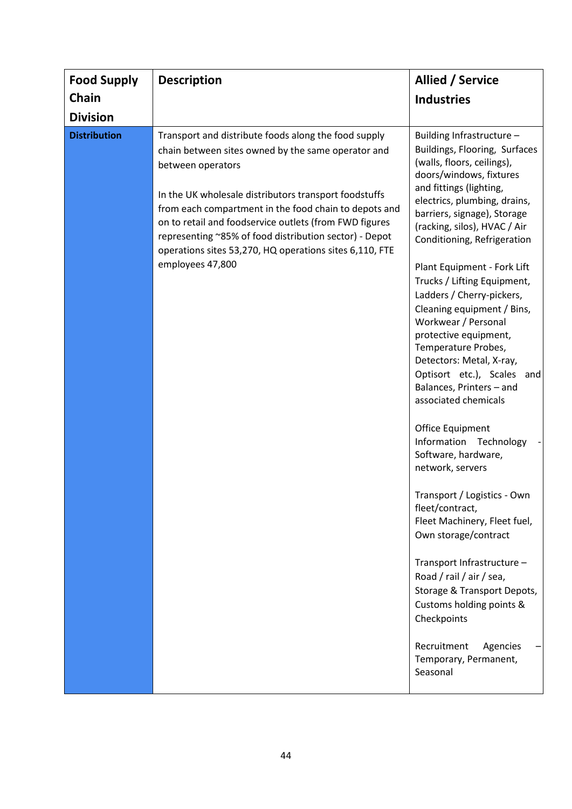| Chain<br><b>Industries</b>                                                                                                                                                                                                                                                                                                                                                                                                                                                                                                                                                                                                                                                                                                                                                                                                                                                                                                                                                                                                                                                                                                                                                                                                                                                                                                                                                                                                                                       |                 |
|------------------------------------------------------------------------------------------------------------------------------------------------------------------------------------------------------------------------------------------------------------------------------------------------------------------------------------------------------------------------------------------------------------------------------------------------------------------------------------------------------------------------------------------------------------------------------------------------------------------------------------------------------------------------------------------------------------------------------------------------------------------------------------------------------------------------------------------------------------------------------------------------------------------------------------------------------------------------------------------------------------------------------------------------------------------------------------------------------------------------------------------------------------------------------------------------------------------------------------------------------------------------------------------------------------------------------------------------------------------------------------------------------------------------------------------------------------------|-----------------|
| <b>Division</b>                                                                                                                                                                                                                                                                                                                                                                                                                                                                                                                                                                                                                                                                                                                                                                                                                                                                                                                                                                                                                                                                                                                                                                                                                                                                                                                                                                                                                                                  |                 |
| <b>Distribution</b><br>Transport and distribute foods along the food supply<br>Building Infrastructure -<br>Buildings, Flooring, Surfaces<br>chain between sites owned by the same operator and<br>(walls, floors, ceilings),<br>between operators<br>doors/windows, fixtures<br>and fittings (lighting,<br>In the UK wholesale distributors transport foodstuffs<br>electrics, plumbing, drains,<br>from each compartment in the food chain to depots and<br>barriers, signage), Storage<br>on to retail and foodservice outlets (from FWD figures<br>(racking, silos), HVAC / Air<br>representing ~85% of food distribution sector) - Depot<br>Conditioning, Refrigeration<br>operations sites 53,270, HQ operations sites 6,110, FTE<br>employees 47,800<br>Plant Equipment - Fork Lift<br>Trucks / Lifting Equipment,<br>Ladders / Cherry-pickers,<br>Cleaning equipment / Bins,<br>Workwear / Personal<br>protective equipment,<br>Temperature Probes,<br>Detectors: Metal, X-ray,<br>Optisort etc.), Scales<br>Balances, Printers - and<br>associated chemicals<br>Office Equipment<br>Information Technology<br>Software, hardware,<br>network, servers<br>Transport / Logistics - Own<br>fleet/contract,<br>Fleet Machinery, Fleet fuel,<br>Own storage/contract<br>Transport Infrastructure -<br>Road / rail / air / sea,<br>Storage & Transport Depots,<br>Customs holding points &<br>Checkpoints<br>Recruitment<br>Temporary, Permanent,<br>Seasonal | and<br>Agencies |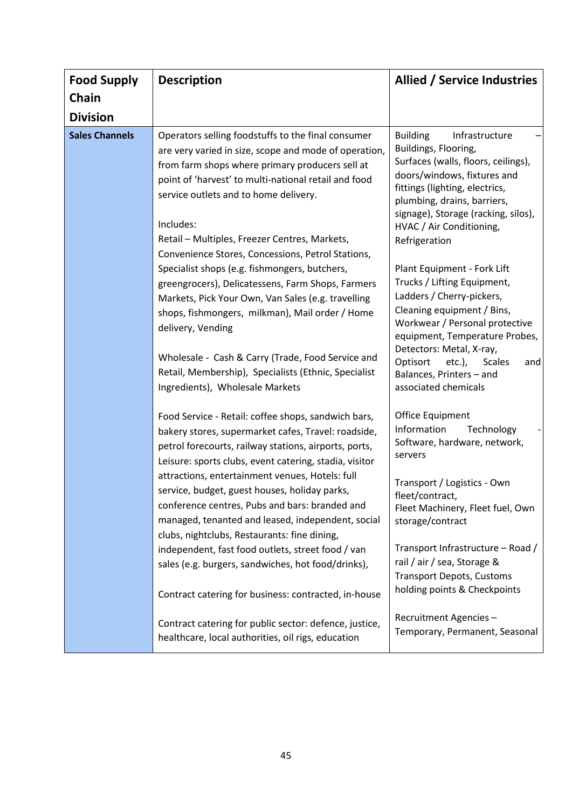| <b>Food Supply</b>                                                                                                                                                                                                                                      | <b>Description</b>                                                                                                                                                                                                                                                           | <b>Allied / Service Industries</b>                                                                                                                                                                                                      |
|---------------------------------------------------------------------------------------------------------------------------------------------------------------------------------------------------------------------------------------------------------|------------------------------------------------------------------------------------------------------------------------------------------------------------------------------------------------------------------------------------------------------------------------------|-----------------------------------------------------------------------------------------------------------------------------------------------------------------------------------------------------------------------------------------|
| Chain                                                                                                                                                                                                                                                   |                                                                                                                                                                                                                                                                              |                                                                                                                                                                                                                                         |
| <b>Division</b>                                                                                                                                                                                                                                         |                                                                                                                                                                                                                                                                              |                                                                                                                                                                                                                                         |
| <b>Sales Channels</b>                                                                                                                                                                                                                                   | Operators selling foodstuffs to the final consumer<br>are very varied in size, scope and mode of operation,<br>from farm shops where primary producers sell at<br>point of 'harvest' to multi-national retail and food<br>service outlets and to home delivery.<br>Includes: | <b>Building</b><br>Infrastructure<br>Buildings, Flooring,<br>Surfaces (walls, floors, ceilings),<br>doors/windows, fixtures and<br>fittings (lighting, electrics,<br>plumbing, drains, barriers,<br>signage), Storage (racking, silos), |
|                                                                                                                                                                                                                                                         | Retail - Multiples, Freezer Centres, Markets,<br>Convenience Stores, Concessions, Petrol Stations,                                                                                                                                                                           | HVAC / Air Conditioning,<br>Refrigeration                                                                                                                                                                                               |
|                                                                                                                                                                                                                                                         | Specialist shops (e.g. fishmongers, butchers,<br>greengrocers), Delicatessens, Farm Shops, Farmers<br>Markets, Pick Your Own, Van Sales (e.g. travelling<br>shops, fishmongers, milkman), Mail order / Home<br>delivery, Vending                                             | Plant Equipment - Fork Lift<br>Trucks / Lifting Equipment,<br>Ladders / Cherry-pickers,<br>Cleaning equipment / Bins,<br>Workwear / Personal protective<br>equipment, Temperature Probes,                                               |
|                                                                                                                                                                                                                                                         | Wholesale - Cash & Carry (Trade, Food Service and<br>Retail, Membership), Specialists (Ethnic, Specialist<br>Ingredients), Wholesale Markets                                                                                                                                 | Detectors: Metal, X-ray,<br>Optisort<br>$etc.$ ),<br>Scales<br>and<br>Balances, Printers - and<br>associated chemicals                                                                                                                  |
|                                                                                                                                                                                                                                                         | Food Service - Retail: coffee shops, sandwich bars,<br>bakery stores, supermarket cafes, Travel: roadside,<br>petrol forecourts, railway stations, airports, ports,<br>Leisure: sports clubs, event catering, stadia, visitor                                                | Office Equipment<br>Information<br>Technology<br>Software, hardware, network,<br>servers                                                                                                                                                |
| attractions, entertainment venues, Hotels: full<br>service, budget, guest houses, holiday parks,<br>conference centres, Pubs and bars: branded and<br>managed, tenanted and leased, independent, social<br>clubs, nightclubs, Restaurants: fine dining, | Transport / Logistics - Own<br>fleet/contract,<br>Fleet Machinery, Fleet fuel, Own<br>storage/contract                                                                                                                                                                       |                                                                                                                                                                                                                                         |
|                                                                                                                                                                                                                                                         | independent, fast food outlets, street food / van<br>sales (e.g. burgers, sandwiches, hot food/drinks),                                                                                                                                                                      | Transport Infrastructure - Road /<br>rail / air / sea, Storage &<br><b>Transport Depots, Customs</b><br>holding points & Checkpoints                                                                                                    |
|                                                                                                                                                                                                                                                         | Contract catering for business: contracted, in-house                                                                                                                                                                                                                         |                                                                                                                                                                                                                                         |
|                                                                                                                                                                                                                                                         | Contract catering for public sector: defence, justice,<br>healthcare, local authorities, oil rigs, education                                                                                                                                                                 | Recruitment Agencies-<br>Temporary, Permanent, Seasonal                                                                                                                                                                                 |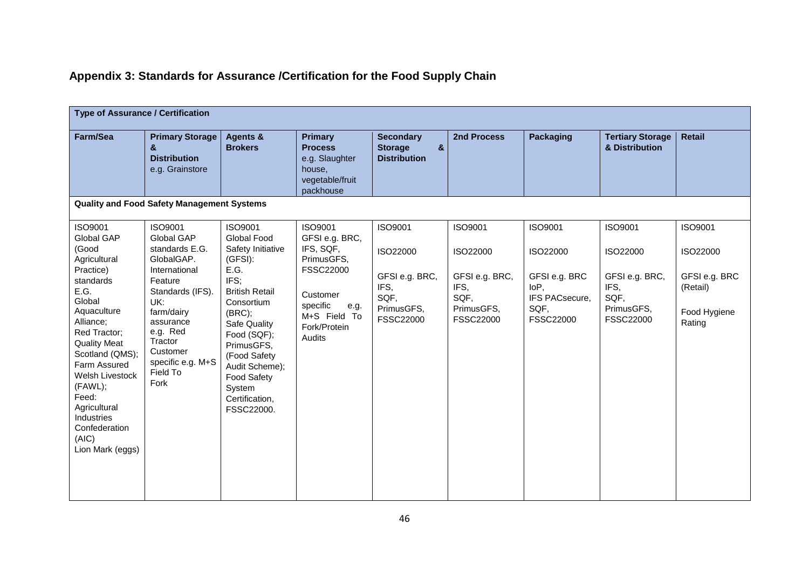## **Appendix 3: Standards for Assurance /Certification for the Food Supply Chain**

| <b>Type of Assurance / Certification</b>                                                                                                                                                                                                                                                                            |                                                                                                                                                                                                                     |                                                                                                                                                                                                                                                                               |                                                                                                                                             |                                                                                         |                                                                                  |                                                                                     |                                                                                         |                                                                            |  |
|---------------------------------------------------------------------------------------------------------------------------------------------------------------------------------------------------------------------------------------------------------------------------------------------------------------------|---------------------------------------------------------------------------------------------------------------------------------------------------------------------------------------------------------------------|-------------------------------------------------------------------------------------------------------------------------------------------------------------------------------------------------------------------------------------------------------------------------------|---------------------------------------------------------------------------------------------------------------------------------------------|-----------------------------------------------------------------------------------------|----------------------------------------------------------------------------------|-------------------------------------------------------------------------------------|-----------------------------------------------------------------------------------------|----------------------------------------------------------------------------|--|
| Farm/Sea                                                                                                                                                                                                                                                                                                            | <b>Primary Storage</b><br>&<br><b>Distribution</b><br>e.g. Grainstore                                                                                                                                               | Agents &<br><b>Brokers</b>                                                                                                                                                                                                                                                    | <b>Primary</b><br><b>Process</b><br>e.g. Slaughter<br>house,<br>vegetable/fruit<br>packhouse                                                | <b>Secondary</b><br>$\boldsymbol{\delta}$<br><b>Storage</b><br><b>Distribution</b>      | 2nd Process                                                                      | <b>Packaging</b>                                                                    | <b>Tertiary Storage</b><br>& Distribution                                               | <b>Retail</b>                                                              |  |
|                                                                                                                                                                                                                                                                                                                     | <b>Quality and Food Safety Management Systems</b>                                                                                                                                                                   |                                                                                                                                                                                                                                                                               |                                                                                                                                             |                                                                                         |                                                                                  |                                                                                     |                                                                                         |                                                                            |  |
| ISO9001<br>Global GAP<br>(Good<br>Agricultural<br>Practice)<br>standards<br>E.G.<br>Global<br>Aquaculture<br>Alliance;<br>Red Tractor;<br><b>Quality Meat</b><br>Scotland (QMS);<br>Farm Assured<br>Welsh Livestock<br>(FAWL);<br>Feed:<br>Agricultural<br>Industries<br>Confederation<br>(AIC)<br>Lion Mark (eggs) | ISO9001<br>Global GAP<br>standards E.G.<br>GlobalGAP.<br>International<br>Feature<br>Standards (IFS).<br>UK:<br>farm/dairy<br>assurance<br>e.g. Red<br>Tractor<br>Customer<br>specific e.g. M+S<br>Field To<br>Fork | ISO9001<br><b>Global Food</b><br>Safety Initiative<br>(GFSI):<br>E.G.<br>IFS;<br><b>British Retail</b><br>Consortium<br>(BRC);<br>Safe Quality<br>Food (SQF);<br>PrimusGFS,<br>(Food Safety<br>Audit Scheme);<br><b>Food Safety</b><br>System<br>Certification,<br>FSSC22000. | ISO9001<br>GFSI e.g. BRC,<br>IFS, SQF,<br>PrimusGFS,<br>FSSC22000<br>Customer<br>specific<br>e.g.<br>M+S Field To<br>Fork/Protein<br>Audits | <b>ISO9001</b><br>ISO22000<br>GFSI e.g. BRC,<br>IFS,<br>SQF,<br>PrimusGFS,<br>FSSC22000 | ISO9001<br>ISO22000<br>GFSI e.g. BRC,<br>IFS,<br>SQF,<br>PrimusGFS,<br>FSSC22000 | ISO9001<br>ISO22000<br>GFSI e.g. BRC<br>IoP,<br>IFS PACsecure,<br>SQF,<br>FSSC22000 | <b>ISO9001</b><br>ISO22000<br>GFSI e.g. BRC,<br>IFS,<br>SQF,<br>PrimusGFS,<br>FSSC22000 | ISO9001<br>ISO22000<br>GFSI e.g. BRC<br>(Retail)<br>Food Hygiene<br>Rating |  |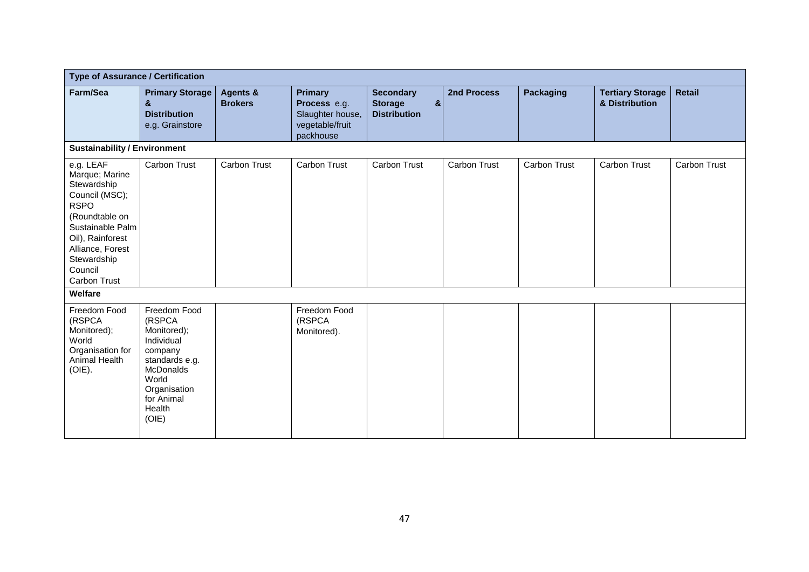| <b>Type of Assurance / Certification</b>                                                                                                                                                            |                                                                                                                                                                |                            |                                                                                    |                                                                           |                     |                     |                                           |                     |
|-----------------------------------------------------------------------------------------------------------------------------------------------------------------------------------------------------|----------------------------------------------------------------------------------------------------------------------------------------------------------------|----------------------------|------------------------------------------------------------------------------------|---------------------------------------------------------------------------|---------------------|---------------------|-------------------------------------------|---------------------|
| Farm/Sea                                                                                                                                                                                            | <b>Primary Storage</b><br>&<br><b>Distribution</b><br>e.g. Grainstore                                                                                          | Agents &<br><b>Brokers</b> | <b>Primary</b><br>Process e.g.<br>Slaughter house,<br>vegetable/fruit<br>packhouse | <b>Secondary</b><br>$\mathbf{g}$<br><b>Storage</b><br><b>Distribution</b> | 2nd Process         | Packaging           | <b>Tertiary Storage</b><br>& Distribution | <b>Retail</b>       |
| <b>Sustainability / Environment</b>                                                                                                                                                                 |                                                                                                                                                                |                            |                                                                                    |                                                                           |                     |                     |                                           |                     |
| e.g. LEAF<br>Marque; Marine<br>Stewardship<br>Council (MSC);<br><b>RSPO</b><br>(Roundtable on<br>Sustainable Palm<br>Oil), Rainforest<br>Alliance, Forest<br>Stewardship<br>Council<br>Carbon Trust | <b>Carbon Trust</b>                                                                                                                                            | <b>Carbon Trust</b>        | <b>Carbon Trust</b>                                                                | Carbon Trust                                                              | <b>Carbon Trust</b> | <b>Carbon Trust</b> | <b>Carbon Trust</b>                       | <b>Carbon Trust</b> |
| Welfare                                                                                                                                                                                             |                                                                                                                                                                |                            |                                                                                    |                                                                           |                     |                     |                                           |                     |
| Freedom Food<br>(RSPCA<br>Monitored);<br>World<br>Organisation for<br>Animal Health<br>(OIE).                                                                                                       | Freedom Food<br>(RSPCA<br>Monitored);<br>Individual<br>company<br>standards e.g.<br><b>McDonalds</b><br>World<br>Organisation<br>for Animal<br>Health<br>(OIE) |                            | Freedom Food<br>(RSPCA<br>Monitored).                                              |                                                                           |                     |                     |                                           |                     |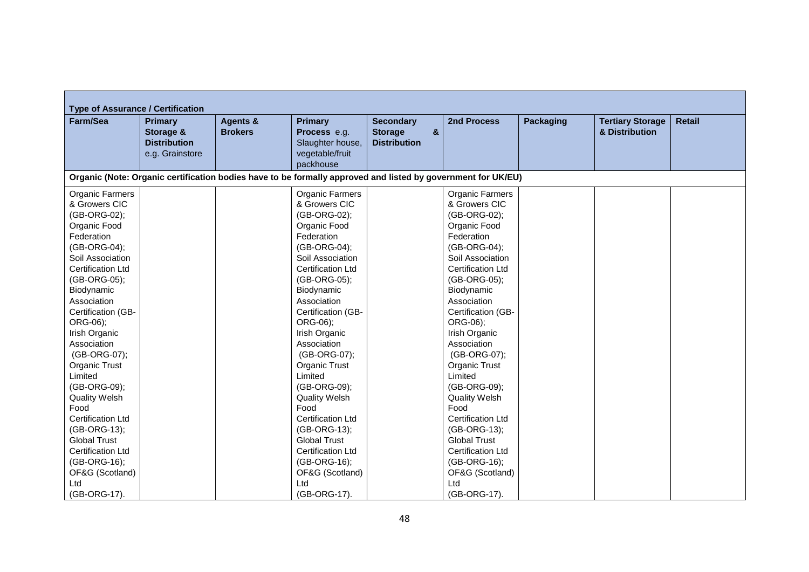| <b>Type of Assurance / Certification</b> |                                                                |                                                                                                              |                                                                       |                                                                                    |                              |                  |                                           |               |
|------------------------------------------|----------------------------------------------------------------|--------------------------------------------------------------------------------------------------------------|-----------------------------------------------------------------------|------------------------------------------------------------------------------------|------------------------------|------------------|-------------------------------------------|---------------|
| Farm/Sea                                 | Primary<br>Storage &<br><b>Distribution</b><br>e.g. Grainstore | <b>Agents &amp;</b><br><b>Brokers</b>                                                                        | <b>Primary</b><br>Process e.g.<br>Slaughter house,<br>vegetable/fruit | <b>Secondary</b><br>$\boldsymbol{\alpha}$<br><b>Storage</b><br><b>Distribution</b> | 2nd Process                  | <b>Packaging</b> | <b>Tertiary Storage</b><br>& Distribution | <b>Retail</b> |
|                                          |                                                                |                                                                                                              | packhouse                                                             |                                                                                    |                              |                  |                                           |               |
|                                          |                                                                | Organic (Note: Organic certification bodies have to be formally approved and listed by government for UK/EU) |                                                                       |                                                                                    |                              |                  |                                           |               |
| Organic Farmers                          |                                                                |                                                                                                              | Organic Farmers                                                       |                                                                                    | <b>Organic Farmers</b>       |                  |                                           |               |
| & Growers CIC                            |                                                                |                                                                                                              | & Growers CIC                                                         |                                                                                    | & Growers CIC                |                  |                                           |               |
| (GB-ORG-02);                             |                                                                |                                                                                                              | (GB-ORG-02);                                                          |                                                                                    | (GB-ORG-02);                 |                  |                                           |               |
| Organic Food                             |                                                                |                                                                                                              | Organic Food                                                          |                                                                                    | Organic Food                 |                  |                                           |               |
| Federation                               |                                                                |                                                                                                              | Federation                                                            |                                                                                    | Federation                   |                  |                                           |               |
| (GB-ORG-04);                             |                                                                |                                                                                                              | (GB-ORG-04);                                                          |                                                                                    | (GB-ORG-04);                 |                  |                                           |               |
| Soil Association                         |                                                                |                                                                                                              | Soil Association                                                      |                                                                                    | Soil Association             |                  |                                           |               |
| <b>Certification Ltd</b>                 |                                                                |                                                                                                              | Certification Ltd                                                     |                                                                                    | <b>Certification Ltd</b>     |                  |                                           |               |
| (GB-ORG-05);                             |                                                                |                                                                                                              | (GB-ORG-05);                                                          |                                                                                    | (GB-ORG-05);                 |                  |                                           |               |
| Biodynamic                               |                                                                |                                                                                                              | Biodynamic                                                            |                                                                                    | Biodynamic                   |                  |                                           |               |
| Association                              |                                                                |                                                                                                              | Association                                                           |                                                                                    | Association                  |                  |                                           |               |
| Certification (GB-                       |                                                                |                                                                                                              | Certification (GB-                                                    |                                                                                    | Certification (GB-           |                  |                                           |               |
| ORG-06);                                 |                                                                |                                                                                                              | ORG-06);                                                              |                                                                                    | ORG-06);                     |                  |                                           |               |
| Irish Organic                            |                                                                |                                                                                                              | Irish Organic                                                         |                                                                                    | Irish Organic                |                  |                                           |               |
| Association                              |                                                                |                                                                                                              | Association                                                           |                                                                                    | Association                  |                  |                                           |               |
| (GB-ORG-07);                             |                                                                |                                                                                                              | (GB-ORG-07);                                                          |                                                                                    | (GB-ORG-07);                 |                  |                                           |               |
| Organic Trust                            |                                                                |                                                                                                              | <b>Organic Trust</b>                                                  |                                                                                    | Organic Trust                |                  |                                           |               |
| Limited                                  |                                                                |                                                                                                              | Limited                                                               |                                                                                    | Limited                      |                  |                                           |               |
| (GB-ORG-09);                             |                                                                |                                                                                                              | (GB-ORG-09);                                                          |                                                                                    | (GB-ORG-09);                 |                  |                                           |               |
| <b>Quality Welsh</b><br>Food             |                                                                |                                                                                                              | <b>Quality Welsh</b><br>Food                                          |                                                                                    | <b>Quality Welsh</b><br>Food |                  |                                           |               |
| <b>Certification Ltd</b>                 |                                                                |                                                                                                              | <b>Certification Ltd</b>                                              |                                                                                    | <b>Certification Ltd</b>     |                  |                                           |               |
| (GB-ORG-13);                             |                                                                |                                                                                                              | (GB-ORG-13);                                                          |                                                                                    | (GB-ORG-13);                 |                  |                                           |               |
| <b>Global Trust</b>                      |                                                                |                                                                                                              | <b>Global Trust</b>                                                   |                                                                                    | <b>Global Trust</b>          |                  |                                           |               |
| <b>Certification Ltd</b>                 |                                                                |                                                                                                              | <b>Certification Ltd</b>                                              |                                                                                    | <b>Certification Ltd</b>     |                  |                                           |               |
| (GB-ORG-16);                             |                                                                |                                                                                                              | (GB-ORG-16);                                                          |                                                                                    | (GB-ORG-16);                 |                  |                                           |               |
| OF&G (Scotland)                          |                                                                |                                                                                                              | OF&G (Scotland)                                                       |                                                                                    | OF&G (Scotland)              |                  |                                           |               |
| Ltd                                      |                                                                |                                                                                                              | Ltd                                                                   |                                                                                    | Ltd                          |                  |                                           |               |
| (GB-ORG-17).                             |                                                                |                                                                                                              | (GB-ORG-17).                                                          |                                                                                    | (GB-ORG-17).                 |                  |                                           |               |

 $\overline{a}$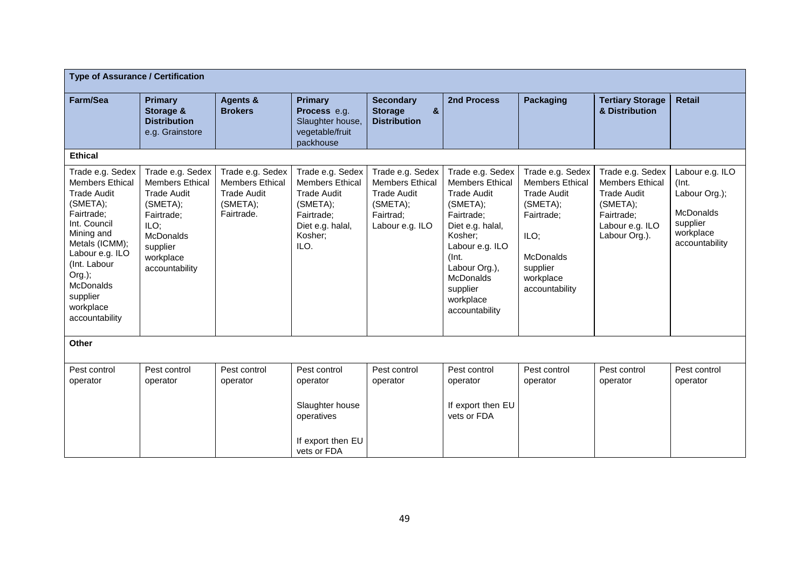| <b>Type of Assurance / Certification</b>                                                                                                                                                                                                               |                                                                                                                                                                   |                                                                                            |                                                                                                                                   |                                                                                                              |                                                                                                                                                                                                                                       |                                                                                                                                                                   |                                                                                                                                |                                                                                                          |
|--------------------------------------------------------------------------------------------------------------------------------------------------------------------------------------------------------------------------------------------------------|-------------------------------------------------------------------------------------------------------------------------------------------------------------------|--------------------------------------------------------------------------------------------|-----------------------------------------------------------------------------------------------------------------------------------|--------------------------------------------------------------------------------------------------------------|---------------------------------------------------------------------------------------------------------------------------------------------------------------------------------------------------------------------------------------|-------------------------------------------------------------------------------------------------------------------------------------------------------------------|--------------------------------------------------------------------------------------------------------------------------------|----------------------------------------------------------------------------------------------------------|
| Farm/Sea                                                                                                                                                                                                                                               | <b>Primary</b><br>Storage &<br><b>Distribution</b><br>e.g. Grainstore                                                                                             | <b>Agents &amp;</b><br><b>Brokers</b>                                                      | <b>Primary</b><br>Process e.g.<br>Slaughter house,<br>vegetable/fruit<br>packhouse                                                | <b>Secondary</b><br>$\boldsymbol{8}$<br><b>Storage</b><br><b>Distribution</b>                                | 2nd Process                                                                                                                                                                                                                           | <b>Packaging</b>                                                                                                                                                  | <b>Tertiary Storage</b><br>& Distribution                                                                                      | <b>Retail</b>                                                                                            |
| <b>Ethical</b>                                                                                                                                                                                                                                         |                                                                                                                                                                   |                                                                                            |                                                                                                                                   |                                                                                                              |                                                                                                                                                                                                                                       |                                                                                                                                                                   |                                                                                                                                |                                                                                                          |
| Trade e.g. Sedex<br><b>Members Ethical</b><br><b>Trade Audit</b><br>(SMETA);<br>Fairtrade;<br>Int. Council<br>Mining and<br>Metals (ICMM);<br>Labour e.g. ILO<br>(Int. Labour<br>Org.);<br><b>McDonalds</b><br>supplier<br>workplace<br>accountability | Trade e.g. Sedex<br><b>Members Ethical</b><br><b>Trade Audit</b><br>(SMETA);<br>Fairtrade;<br>ILO;<br><b>McDonalds</b><br>supplier<br>workplace<br>accountability | Trade e.g. Sedex<br><b>Members Ethical</b><br><b>Trade Audit</b><br>(SMETA);<br>Fairtrade. | Trade e.g. Sedex<br><b>Members Ethical</b><br><b>Trade Audit</b><br>(SMETA);<br>Fairtrade;<br>Diet e.g. halal,<br>Kosher;<br>ILO. | Trade e.g. Sedex<br><b>Members Ethical</b><br><b>Trade Audit</b><br>(SMETA);<br>Fairtrad;<br>Labour e.g. ILO | Trade e.g. Sedex<br><b>Members Ethical</b><br><b>Trade Audit</b><br>(SMETA);<br>Fairtrade:<br>Diet e.g. halal,<br>Kosher;<br>Labour e.g. ILO<br>(Int.<br>Labour Org.),<br><b>McDonalds</b><br>supplier<br>workplace<br>accountability | Trade e.g. Sedex<br><b>Members Ethical</b><br><b>Trade Audit</b><br>(SMETA);<br>Fairtrade;<br>ILO;<br><b>McDonalds</b><br>supplier<br>workplace<br>accountability | Trade e.g. Sedex<br><b>Members Ethical</b><br><b>Trade Audit</b><br>(SMETA);<br>Fairtrade:<br>Labour e.g. ILO<br>Labour Org.). | Labour e.g. ILO<br>(Int.<br>Labour Org.);<br><b>McDonalds</b><br>supplier<br>workplace<br>accountability |
| Other                                                                                                                                                                                                                                                  |                                                                                                                                                                   |                                                                                            |                                                                                                                                   |                                                                                                              |                                                                                                                                                                                                                                       |                                                                                                                                                                   |                                                                                                                                |                                                                                                          |
| Pest control<br>operator                                                                                                                                                                                                                               | Pest control<br>operator                                                                                                                                          | Pest control<br>operator                                                                   | Pest control<br>operator<br>Slaughter house<br>operatives<br>If export then EU<br>vets or FDA                                     | Pest control<br>operator                                                                                     | Pest control<br>operator<br>If export then EU<br>vets or FDA                                                                                                                                                                          | Pest control<br>operator                                                                                                                                          | Pest control<br>operator                                                                                                       | Pest control<br>operator                                                                                 |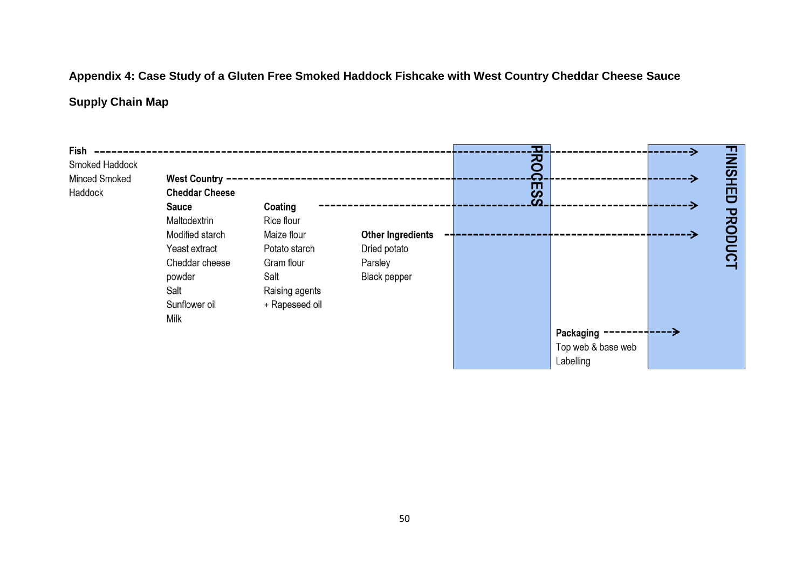## **Appendix 4: Case Study of a Gluten Free Smoked Haddock Fishcake with West Country Cheddar Cheese Sauce**

## **Supply Chain Map**

| Fish<br>Smoked Haddock<br>Minced Smoked<br>Haddock | <b>West Country</b><br><b>Cheddar Cheese</b><br><b>Sauce</b><br>Maltodextrin<br>Modified starch | Coating<br>Rice flour<br>Maize flour | <b>Other Ingredients</b> | О.<br><u> 정</u><br>Ō<br>ESS |                    | <b>FINISHI</b><br>巴<br><b>PRODU</b> |  |
|----------------------------------------------------|-------------------------------------------------------------------------------------------------|--------------------------------------|--------------------------|-----------------------------|--------------------|-------------------------------------|--|
|                                                    | Yeast extract<br>Cheddar cheese                                                                 | Potato starch<br>Gram flour          | Dried potato<br>Parsley  |                             |                    | $\Omega$                            |  |
|                                                    | powder                                                                                          | Salt                                 | <b>Black pepper</b>      |                             |                    |                                     |  |
|                                                    | Salt                                                                                            | Raising agents                       |                          |                             |                    |                                     |  |
|                                                    | Sunflower oil                                                                                   | + Rapeseed oil                       |                          |                             |                    |                                     |  |
|                                                    | Milk                                                                                            |                                      |                          |                             |                    |                                     |  |
|                                                    |                                                                                                 |                                      |                          |                             | Packaging          |                                     |  |
|                                                    |                                                                                                 |                                      |                          |                             | Top web & base web |                                     |  |
|                                                    |                                                                                                 |                                      |                          |                             | Labelling          |                                     |  |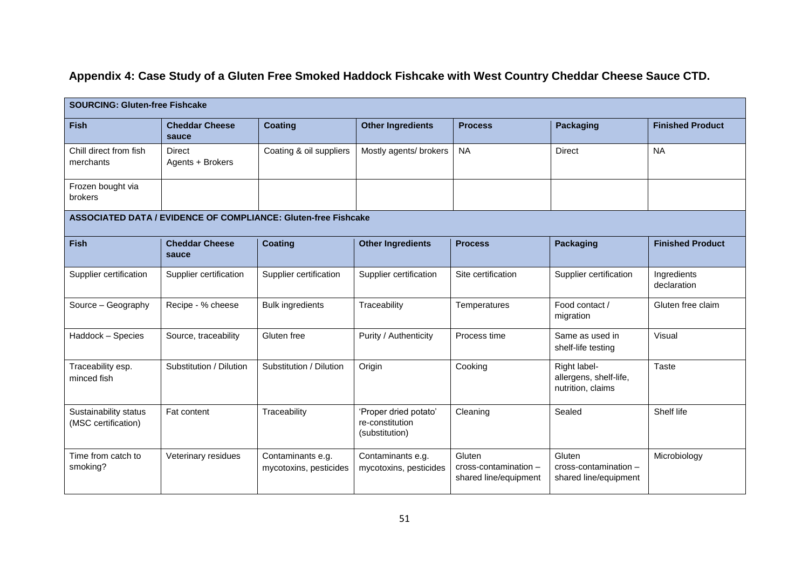## **Appendix 4: Case Study of a Gluten Free Smoked Haddock Fishcake with West Country Cheddar Cheese Sauce CTD.**

| <b>SOURCING: Gluten-free Fishcake</b>        |                                                                       |                                             |                                                            |                                                          |                                                             |                            |  |  |  |  |
|----------------------------------------------|-----------------------------------------------------------------------|---------------------------------------------|------------------------------------------------------------|----------------------------------------------------------|-------------------------------------------------------------|----------------------------|--|--|--|--|
| Fish                                         | <b>Cheddar Cheese</b><br>sauce                                        | <b>Coating</b>                              | <b>Other Ingredients</b>                                   | <b>Process</b>                                           | <b>Packaging</b>                                            | <b>Finished Product</b>    |  |  |  |  |
| Chill direct from fish<br>merchants          | <b>Direct</b><br>Agents + Brokers                                     | Coating & oil suppliers                     | Mostly agents/ brokers                                     | <b>NA</b>                                                | <b>Direct</b>                                               | <b>NA</b>                  |  |  |  |  |
| Frozen bought via<br>brokers                 |                                                                       |                                             |                                                            |                                                          |                                                             |                            |  |  |  |  |
|                                              | <b>ASSOCIATED DATA / EVIDENCE OF COMPLIANCE: Gluten-free Fishcake</b> |                                             |                                                            |                                                          |                                                             |                            |  |  |  |  |
| <b>Fish</b>                                  | <b>Cheddar Cheese</b><br>sauce                                        | <b>Coating</b>                              | <b>Other Ingredients</b>                                   | <b>Process</b>                                           | <b>Packaging</b>                                            | <b>Finished Product</b>    |  |  |  |  |
| Supplier certification                       | Supplier certification                                                | Supplier certification                      | Supplier certification                                     | Site certification                                       | Supplier certification                                      | Ingredients<br>declaration |  |  |  |  |
| Source - Geography                           | Recipe - % cheese                                                     | <b>Bulk ingredients</b>                     | Traceability                                               | Temperatures                                             | Food contact /<br>migration                                 | Gluten free claim          |  |  |  |  |
| Haddock - Species                            | Source, traceability                                                  | Gluten free                                 | Purity / Authenticity                                      | Process time                                             | Same as used in<br>shelf-life testing                       | Visual                     |  |  |  |  |
| Traceability esp.<br>minced fish             | Substitution / Dilution                                               | Substitution / Dilution                     | Origin                                                     | Cooking                                                  | Right label-<br>allergens, shelf-life,<br>nutrition, claims | Taste                      |  |  |  |  |
| Sustainability status<br>(MSC certification) | Fat content                                                           | Traceability                                | 'Proper dried potato'<br>re-constitution<br>(substitution) | Cleaning                                                 | Sealed                                                      | Shelf life                 |  |  |  |  |
| Time from catch to<br>smoking?               | Veterinary residues                                                   | Contaminants e.g.<br>mycotoxins, pesticides | Contaminants e.g.<br>mycotoxins, pesticides                | Gluten<br>cross-contamination -<br>shared line/equipment | Gluten<br>cross-contamination -<br>shared line/equipment    | Microbiology               |  |  |  |  |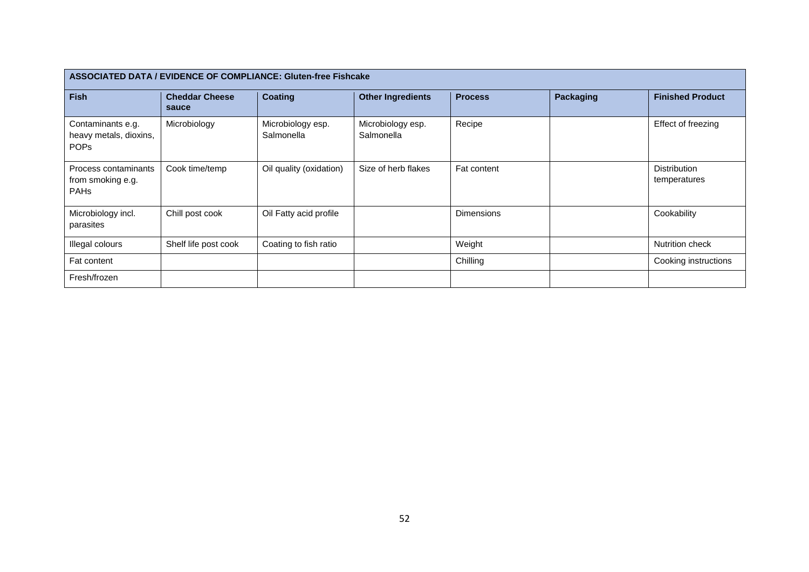| ASSOCIATED DATA / EVIDENCE OF COMPLIANCE: Gluten-free Fishcake |                                |                                 |                                 |                   |                  |                                     |  |  |  |  |
|----------------------------------------------------------------|--------------------------------|---------------------------------|---------------------------------|-------------------|------------------|-------------------------------------|--|--|--|--|
| <b>Fish</b>                                                    | <b>Cheddar Cheese</b><br>sauce | <b>Coating</b>                  | <b>Other Ingredients</b>        | <b>Process</b>    | <b>Packaging</b> | <b>Finished Product</b>             |  |  |  |  |
| Contaminants e.g.<br>heavy metals, dioxins,<br><b>POPs</b>     | Microbiology                   | Microbiology esp.<br>Salmonella | Microbiology esp.<br>Salmonella | Recipe            |                  | Effect of freezing                  |  |  |  |  |
| Process contaminants<br>from smoking e.g.<br><b>PAHs</b>       | Cook time/temp                 | Oil quality (oxidation)         | Size of herb flakes             | Fat content       |                  | <b>Distribution</b><br>temperatures |  |  |  |  |
| Microbiology incl.<br>parasites                                | Chill post cook                | Oil Fatty acid profile          |                                 | <b>Dimensions</b> |                  | Cookability                         |  |  |  |  |
| Illegal colours                                                | Shelf life post cook           | Coating to fish ratio           |                                 | Weight            |                  | Nutrition check                     |  |  |  |  |
| Fat content                                                    |                                |                                 |                                 | Chilling          |                  | Cooking instructions                |  |  |  |  |
| Fresh/frozen                                                   |                                |                                 |                                 |                   |                  |                                     |  |  |  |  |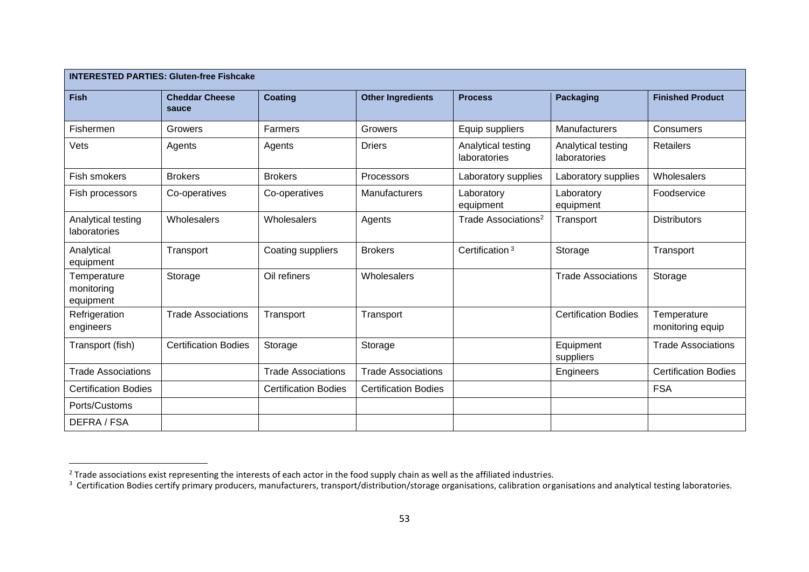| <b>INTERESTED PARTIES: Gluten-free Fishcake</b> |                                |                             |                             |                                    |                                    |                                 |  |  |  |
|-------------------------------------------------|--------------------------------|-----------------------------|-----------------------------|------------------------------------|------------------------------------|---------------------------------|--|--|--|
| <b>Fish</b>                                     | <b>Cheddar Cheese</b><br>sauce | <b>Coating</b>              | <b>Other Ingredients</b>    | <b>Process</b>                     | <b>Packaging</b>                   | <b>Finished Product</b>         |  |  |  |
| Fishermen                                       | Growers                        | Farmers                     | Growers                     | Equip suppliers                    | Manufacturers                      | <b>Consumers</b>                |  |  |  |
| Vets                                            | Agents                         | Agents                      | <b>Driers</b>               | Analytical testing<br>laboratories | Analytical testing<br>laboratories | <b>Retailers</b>                |  |  |  |
| Fish smokers                                    | <b>Brokers</b>                 | <b>Brokers</b>              | Processors                  | Laboratory supplies                | Laboratory supplies                | Wholesalers                     |  |  |  |
| Fish processors                                 | Co-operatives                  | Co-operatives               | Manufacturers               | Laboratory<br>equipment            | Laboratory<br>equipment            | Foodservice                     |  |  |  |
| Analytical testing<br>laboratories              | Wholesalers                    | Wholesalers                 | Agents                      | Trade Associations <sup>2</sup>    | Transport                          | <b>Distributors</b>             |  |  |  |
| Analytical<br>equipment                         | Transport                      | Coating suppliers           | <b>Brokers</b>              | Certification <sup>3</sup>         | Storage                            | Transport                       |  |  |  |
| Temperature<br>monitoring<br>equipment          | Storage                        | Oil refiners                | Wholesalers                 |                                    | <b>Trade Associations</b>          | Storage                         |  |  |  |
| Refrigeration<br>engineers                      | <b>Trade Associations</b>      | Transport                   | Transport                   |                                    | <b>Certification Bodies</b>        | Temperature<br>monitoring equip |  |  |  |
| Transport (fish)                                | <b>Certification Bodies</b>    | Storage                     | Storage                     |                                    | Equipment<br>suppliers             | <b>Trade Associations</b>       |  |  |  |
| <b>Trade Associations</b>                       |                                | <b>Trade Associations</b>   | <b>Trade Associations</b>   |                                    | Engineers                          | <b>Certification Bodies</b>     |  |  |  |
| <b>Certification Bodies</b>                     |                                | <b>Certification Bodies</b> | <b>Certification Bodies</b> |                                    |                                    | <b>FSA</b>                      |  |  |  |
| Ports/Customs                                   |                                |                             |                             |                                    |                                    |                                 |  |  |  |
| DEFRA / FSA                                     |                                |                             |                             |                                    |                                    |                                 |  |  |  |

 $\overline{a}$ 

<sup>&</sup>lt;sup>2</sup> Trade associations exist representing the interests of each actor in the food supply chain as well as the affiliated industries.<br><sup>3</sup> Certification Bodies certify primary producers, manufacturers, transport/distributio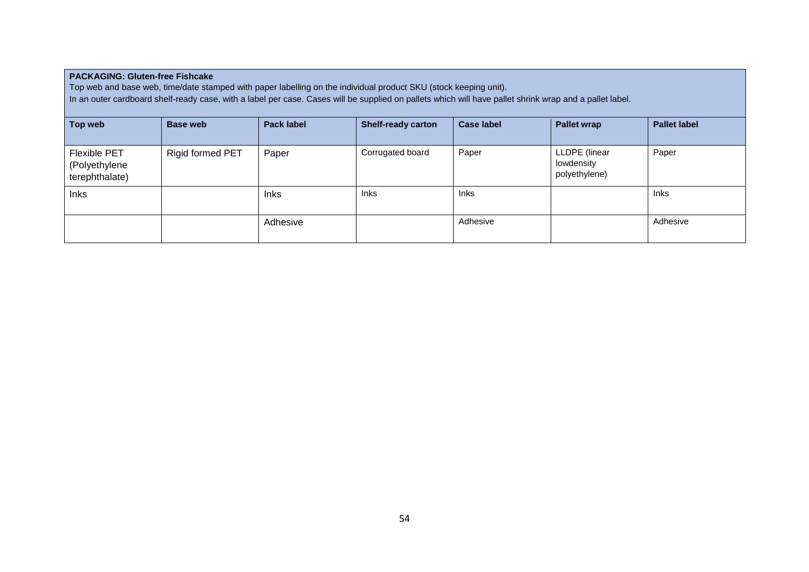| <b>PACKAGING: Gluten-free Fishcake</b><br>Top web and base web, time/date stamped with paper labelling on the individual product SKU (stock keeping unit).<br>In an outer cardboard shelf-ready case, with a label per case. Cases will be supplied on pallets which will have pallet shrink wrap and a pallet label. |                         |                   |                           |                   |                                              |                     |  |  |  |
|-----------------------------------------------------------------------------------------------------------------------------------------------------------------------------------------------------------------------------------------------------------------------------------------------------------------------|-------------------------|-------------------|---------------------------|-------------------|----------------------------------------------|---------------------|--|--|--|
| Top web                                                                                                                                                                                                                                                                                                               | <b>Base web</b>         | <b>Pack label</b> | <b>Shelf-ready carton</b> | <b>Case label</b> | <b>Pallet wrap</b>                           | <b>Pallet label</b> |  |  |  |
| <b>Flexible PET</b><br>(Polyethylene<br>terephthalate)                                                                                                                                                                                                                                                                | <b>Rigid formed PET</b> | Paper             | Corrugated board          | Paper             | LLDPE (linear<br>lowdensity<br>polyethylene) | Paper               |  |  |  |
| <b>Inks</b>                                                                                                                                                                                                                                                                                                           |                         | <b>Inks</b>       | <b>Inks</b>               | <b>Inks</b>       |                                              | <b>Inks</b>         |  |  |  |
|                                                                                                                                                                                                                                                                                                                       |                         | Adhesive          |                           | Adhesive          |                                              | Adhesive            |  |  |  |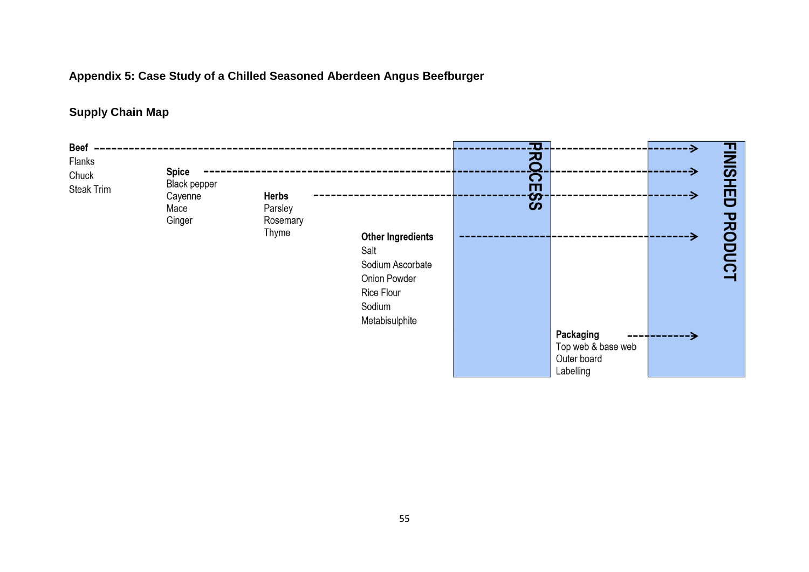#### **Appendix 5: Case Study of a Chilled Seasoned Aberdeen Angus Beefburger**

#### **Supply Chain Map**

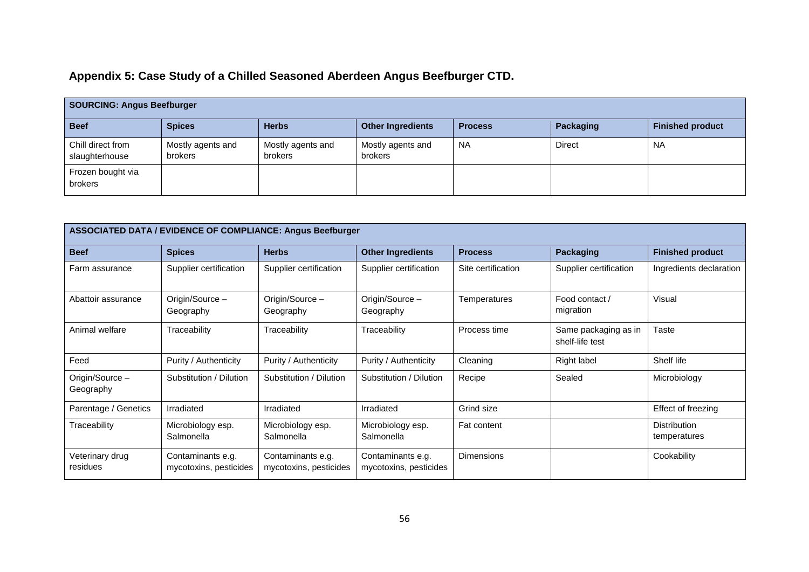## **Appendix 5: Case Study of a Chilled Seasoned Aberdeen Angus Beefburger CTD.**

| <b>SOURCING: Angus Beefburger</b>   |                                     |                              |                                     |                |               |                         |  |  |  |
|-------------------------------------|-------------------------------------|------------------------------|-------------------------------------|----------------|---------------|-------------------------|--|--|--|
| <b>Beef</b>                         | <b>Spices</b>                       | <b>Herbs</b>                 | <b>Other Ingredients</b>            | <b>Process</b> | Packaging     | <b>Finished product</b> |  |  |  |
| Chill direct from<br>slaughterhouse | Mostly agents and<br><b>brokers</b> | Mostly agents and<br>brokers | Mostly agents and<br><b>brokers</b> | <b>NA</b>      | <b>Direct</b> | <b>NA</b>               |  |  |  |
| Frozen bought via<br>brokers        |                                     |                              |                                     |                |               |                         |  |  |  |

| ASSOCIATED DATA / EVIDENCE OF COMPLIANCE: Angus Beefburger |                                             |                                             |                                             |                    |                                         |                                     |  |  |  |
|------------------------------------------------------------|---------------------------------------------|---------------------------------------------|---------------------------------------------|--------------------|-----------------------------------------|-------------------------------------|--|--|--|
| <b>Beef</b>                                                | <b>Spices</b>                               | <b>Herbs</b>                                | <b>Other Ingredients</b>                    | <b>Process</b>     | Packaging                               | <b>Finished product</b>             |  |  |  |
| Farm assurance                                             | Supplier certification                      | Supplier certification                      | Supplier certification                      | Site certification | Supplier certification                  | Ingredients declaration             |  |  |  |
| Abattoir assurance                                         | Origin/Source -<br>Geography                | Origin/Source -<br>Geography                | Origin/Source -<br>Geography                | Temperatures       | Food contact /<br>migration             | Visual                              |  |  |  |
| Animal welfare                                             | Traceability                                | Traceability                                | Traceability                                | Process time       | Same packaging as in<br>shelf-life test | Taste                               |  |  |  |
| Feed                                                       | Purity / Authenticity                       | Purity / Authenticity                       | Purity / Authenticity                       | Cleaning           | Right label                             | Shelf life                          |  |  |  |
| Origin/Source -<br>Geography                               | Substitution / Dilution                     | Substitution / Dilution                     | Substitution / Dilution                     | Recipe             | Sealed                                  | Microbiology                        |  |  |  |
| Parentage / Genetics                                       | Irradiated                                  | Irradiated                                  | Irradiated                                  | Grind size         |                                         | Effect of freezing                  |  |  |  |
| Traceability                                               | Microbiology esp.<br>Salmonella             | Microbiology esp.<br>Salmonella             | Microbiology esp.<br>Salmonella             | <b>Fat content</b> |                                         | <b>Distribution</b><br>temperatures |  |  |  |
| Veterinary drug<br>residues                                | Contaminants e.g.<br>mycotoxins, pesticides | Contaminants e.g.<br>mycotoxins, pesticides | Contaminants e.g.<br>mycotoxins, pesticides | Dimensions         |                                         | Cookability                         |  |  |  |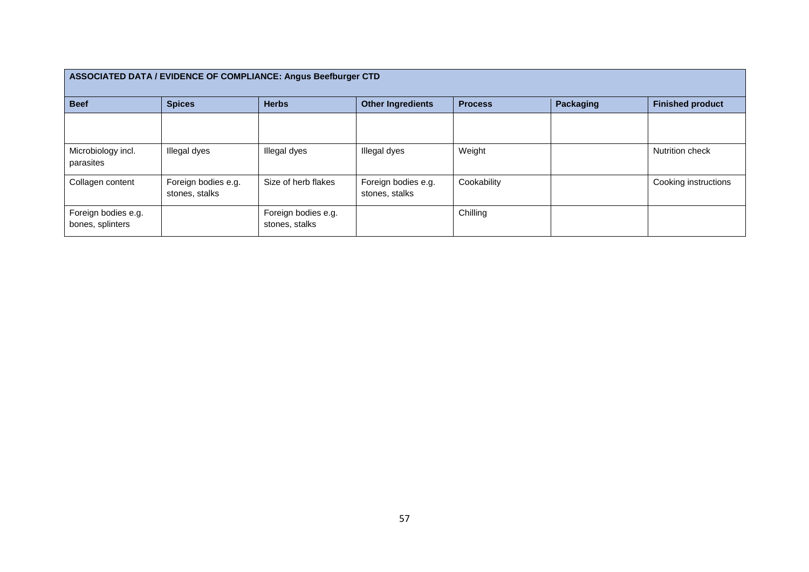| <b>ASSOCIATED DATA / EVIDENCE OF COMPLIANCE: Angus Beefburger CTD</b> |                                       |                                       |                                       |                |                  |                         |  |  |  |  |
|-----------------------------------------------------------------------|---------------------------------------|---------------------------------------|---------------------------------------|----------------|------------------|-------------------------|--|--|--|--|
| <b>Beef</b>                                                           | <b>Spices</b>                         | <b>Herbs</b>                          | <b>Other Ingredients</b>              | <b>Process</b> | <b>Packaging</b> | <b>Finished product</b> |  |  |  |  |
|                                                                       |                                       |                                       |                                       |                |                  |                         |  |  |  |  |
| Microbiology incl.<br>parasites                                       | Illegal dyes                          | Illegal dyes                          | Illegal dyes                          | Weight         |                  | Nutrition check         |  |  |  |  |
| Collagen content                                                      | Foreign bodies e.g.<br>stones, stalks | Size of herb flakes                   | Foreign bodies e.g.<br>stones, stalks | Cookability    |                  | Cooking instructions    |  |  |  |  |
| Foreign bodies e.g.<br>bones, splinters                               |                                       | Foreign bodies e.g.<br>stones, stalks |                                       | Chilling       |                  |                         |  |  |  |  |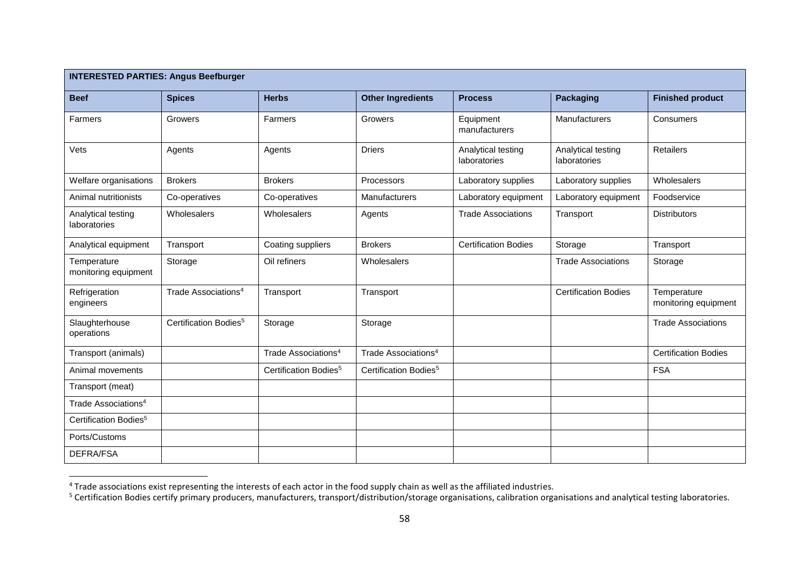| <b>INTERESTED PARTIES: Angus Beefburger</b> |                                   |                                   |                                   |                                    |                                    |                                     |  |  |
|---------------------------------------------|-----------------------------------|-----------------------------------|-----------------------------------|------------------------------------|------------------------------------|-------------------------------------|--|--|
| <b>Beef</b>                                 | <b>Spices</b>                     | <b>Herbs</b>                      | <b>Other Ingredients</b>          | <b>Process</b>                     | <b>Packaging</b>                   | <b>Finished product</b>             |  |  |
| Farmers                                     | Growers                           | Farmers                           | Growers                           | Equipment<br>manufacturers         | <b>Manufacturers</b>               | Consumers                           |  |  |
| Vets                                        | Agents                            | Agents                            | <b>Driers</b>                     | Analytical testing<br>laboratories | Analytical testing<br>laboratories | <b>Retailers</b>                    |  |  |
| Welfare organisations                       | <b>Brokers</b>                    | <b>Brokers</b>                    | Processors                        | Laboratory supplies                | Laboratory supplies                | Wholesalers                         |  |  |
| Animal nutritionists                        | Co-operatives                     | Co-operatives                     | Manufacturers                     | Laboratory equipment               | Laboratory equipment               | Foodservice                         |  |  |
| Analytical testing<br>laboratories          | Wholesalers                       | Wholesalers                       | Agents                            | <b>Trade Associations</b>          | Transport                          | <b>Distributors</b>                 |  |  |
| Analytical equipment                        | Transport                         | Coating suppliers                 | <b>Brokers</b>                    | <b>Certification Bodies</b>        | Storage                            | Transport                           |  |  |
| Temperature<br>monitoring equipment         | Storage                           | Oil refiners                      | Wholesalers                       |                                    | <b>Trade Associations</b>          | Storage                             |  |  |
| Refrigeration<br>engineers                  | Trade Associations <sup>4</sup>   | Transport                         | Transport                         |                                    | <b>Certification Bodies</b>        | Temperature<br>monitoring equipment |  |  |
| Slaughterhouse<br>operations                | Certification Bodies <sup>5</sup> | Storage                           | Storage                           |                                    |                                    | <b>Trade Associations</b>           |  |  |
| Transport (animals)                         |                                   | Trade Associations <sup>4</sup>   | Trade Associations <sup>4</sup>   |                                    |                                    | <b>Certification Bodies</b>         |  |  |
| Animal movements                            |                                   | Certification Bodies <sup>5</sup> | Certification Bodies <sup>5</sup> |                                    |                                    | <b>FSA</b>                          |  |  |
| Transport (meat)                            |                                   |                                   |                                   |                                    |                                    |                                     |  |  |
| Trade Associations <sup>4</sup>             |                                   |                                   |                                   |                                    |                                    |                                     |  |  |
| Certification Bodies <sup>5</sup>           |                                   |                                   |                                   |                                    |                                    |                                     |  |  |
| Ports/Customs                               |                                   |                                   |                                   |                                    |                                    |                                     |  |  |
| <b>DEFRA/FSA</b>                            |                                   |                                   |                                   |                                    |                                    |                                     |  |  |

 $^4$  Trade associations exist representing the interests of each actor in the food supply chain as well as the affiliated industries.

 $\overline{a}$ 

<sup>&</sup>lt;sup>5</sup> Certification Bodies certify primary producers, manufacturers, transport/distribution/storage organisations, calibration organisations and analytical testing laboratories.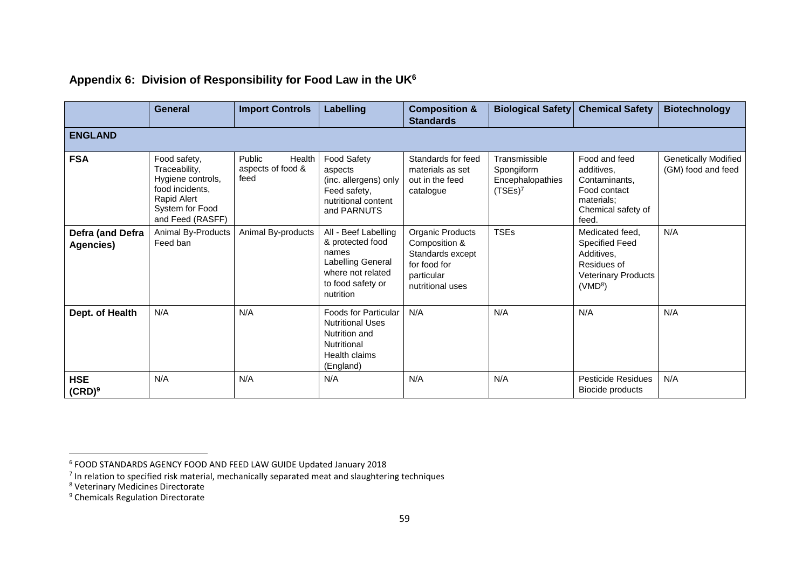|                               | General                                                                                                                     | <b>Import Controls</b>                        | <b>Labelling</b>                                                                                                              | <b>Composition &amp;</b><br><b>Standards</b>                                                            | <b>Biological Safety</b>                                      | <b>Chemical Safety</b>                                                                                                     | <b>Biotechnology</b>                       |  |  |
|-------------------------------|-----------------------------------------------------------------------------------------------------------------------------|-----------------------------------------------|-------------------------------------------------------------------------------------------------------------------------------|---------------------------------------------------------------------------------------------------------|---------------------------------------------------------------|----------------------------------------------------------------------------------------------------------------------------|--------------------------------------------|--|--|
| <b>ENGLAND</b>                |                                                                                                                             |                                               |                                                                                                                               |                                                                                                         |                                                               |                                                                                                                            |                                            |  |  |
| <b>FSA</b>                    | Food safety,<br>Traceability,<br>Hygiene controls,<br>food incidents.<br>Rapid Alert<br>System for Food<br>and Feed (RASFF) | Public<br>Health<br>aspects of food &<br>feed | <b>Food Safety</b><br>aspects<br>(inc. allergens) only<br>Feed safety,<br>nutritional content<br>and PARNUTS                  | Standards for feed<br>materials as set<br>out in the feed<br>catalogue                                  | Transmissible<br>Spongiform<br>Encephalopathies<br>$(TSEs)^7$ | Food and feed<br>additives,<br>Contaminants,<br>Food contact<br>materials:<br>Chemical safety of<br>feed.                  | Genetically Modified<br>(GM) food and feed |  |  |
| Defra (and Defra<br>Agencies) | Animal By-Products<br>Feed ban                                                                                              | Animal By-products                            | All - Beef Labelling<br>& protected food<br>names<br>Labelling General<br>where not related<br>to food safety or<br>nutrition | Organic Products<br>Composition &<br>Standards except<br>for food for<br>particular<br>nutritional uses | <b>TSEs</b>                                                   | Medicated feed,<br><b>Specified Feed</b><br>Additives,<br>Residues of<br><b>Veterinary Products</b><br>(VMD <sup>8</sup> ) | N/A                                        |  |  |
| Dept. of Health               | N/A                                                                                                                         | N/A                                           | <b>Foods for Particular</b><br><b>Nutritional Uses</b><br>Nutrition and<br>Nutritional<br>Health claims<br>(England)          | N/A                                                                                                     | N/A                                                           | N/A                                                                                                                        | N/A                                        |  |  |
| <b>HSE</b><br>$(CRD)^9$       | N/A                                                                                                                         | N/A                                           | N/A                                                                                                                           | N/A                                                                                                     | N/A                                                           | <b>Pesticide Residues</b><br>Biocide products                                                                              | N/A                                        |  |  |

#### **Appendix 6: Division of Responsibility for Food Law in the UK<sup>6</sup>**

 $\overline{\phantom{a}}$ 

<sup>6</sup> FOOD STANDARDS AGENCY FOOD AND FEED LAW GUIDE Updated January 2018

 $<sup>7</sup>$  In relation to specified risk material, mechanically separated meat and slaughtering techniques</sup>

<sup>8</sup> Veterinary Medicines Directorate

<sup>&</sup>lt;sup>9</sup> Chemicals Regulation Directorate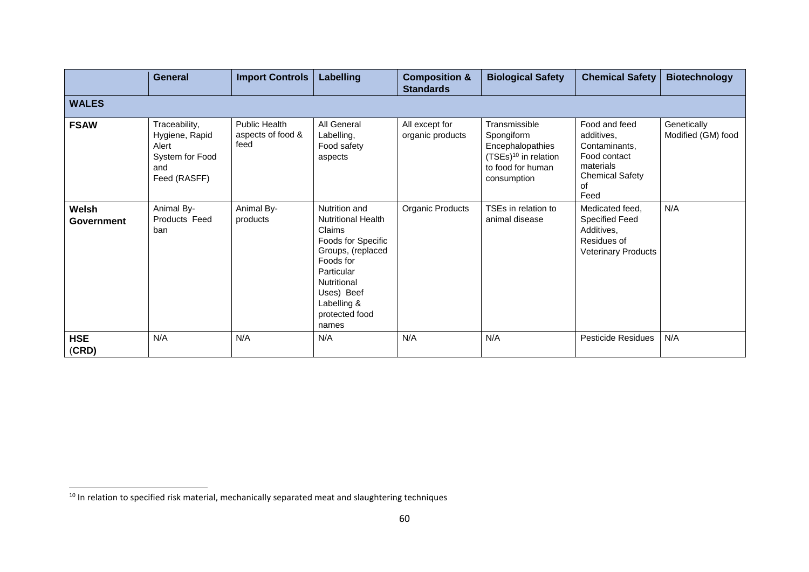|                     | <b>General</b>                                                                     | Import Controls                                   | Labelling                                                                                                                                                                                         | <b>Composition &amp;</b><br><b>Standards</b> | <b>Biological Safety</b>                                                                                                | <b>Chemical Safety</b>                                                                                            | <b>Biotechnology</b>              |  |  |
|---------------------|------------------------------------------------------------------------------------|---------------------------------------------------|---------------------------------------------------------------------------------------------------------------------------------------------------------------------------------------------------|----------------------------------------------|-------------------------------------------------------------------------------------------------------------------------|-------------------------------------------------------------------------------------------------------------------|-----------------------------------|--|--|
| <b>WALES</b>        |                                                                                    |                                                   |                                                                                                                                                                                                   |                                              |                                                                                                                         |                                                                                                                   |                                   |  |  |
| <b>FSAW</b>         | Traceability,<br>Hygiene, Rapid<br>Alert<br>System for Food<br>and<br>Feed (RASFF) | <b>Public Health</b><br>aspects of food &<br>feed | All General<br>Labelling,<br>Food safety<br>aspects                                                                                                                                               | All except for<br>organic products           | Transmissible<br>Spongiform<br>Encephalopathies<br>(TSEs) <sup>10</sup> in relation<br>to food for human<br>consumption | Food and feed<br>additives,<br>Contaminants,<br>Food contact<br>materials<br><b>Chemical Safety</b><br>οf<br>Feed | Genetically<br>Modified (GM) food |  |  |
| Welsh<br>Government | Animal By-<br>Products Feed<br>ban                                                 | Animal By-<br>products                            | Nutrition and<br><b>Nutritional Health</b><br>Claims<br>Foods for Specific<br>Groups, (replaced<br>Foods for<br>Particular<br>Nutritional<br>Uses) Beef<br>Labelling &<br>protected food<br>names | Organic Products                             | TSEs in relation to<br>animal disease                                                                                   | Medicated feed.<br><b>Specified Feed</b><br>Additives,<br>Residues of<br><b>Veterinary Products</b>               | N/A                               |  |  |
| <b>HSE</b><br>(CRD) | N/A                                                                                | N/A                                               | N/A                                                                                                                                                                                               | N/A                                          | N/A                                                                                                                     | Pesticide Residues                                                                                                | N/A                               |  |  |

 $\overline{a}$ 

<sup>&</sup>lt;sup>10</sup> In relation to specified risk material, mechanically separated meat and slaughtering techniques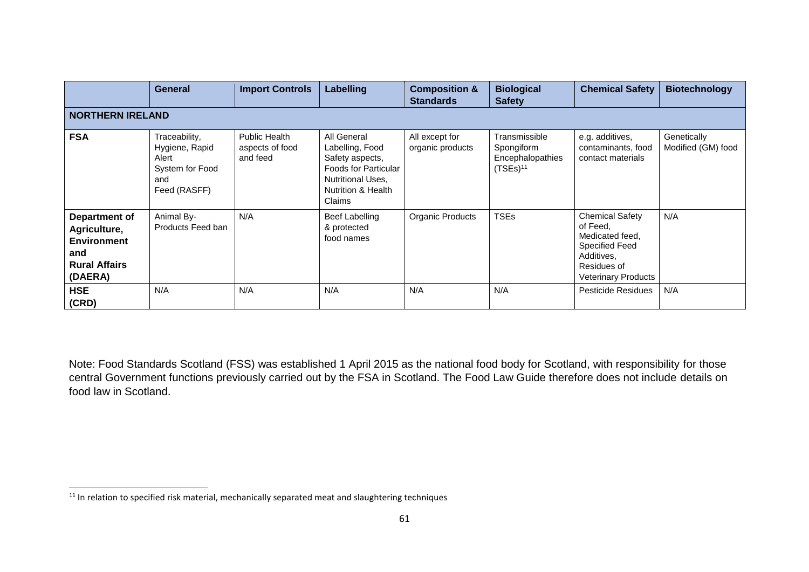|                                                                                               | General                                                                            | <b>Import Controls</b>                              | Labelling                                                                                                                                        | <b>Composition &amp;</b><br><b>Standards</b> | <b>Biological</b><br><b>Safety</b>                                        | <b>Chemical Safety</b>                                                                                                             | <b>Biotechnology</b>              |  |  |
|-----------------------------------------------------------------------------------------------|------------------------------------------------------------------------------------|-----------------------------------------------------|--------------------------------------------------------------------------------------------------------------------------------------------------|----------------------------------------------|---------------------------------------------------------------------------|------------------------------------------------------------------------------------------------------------------------------------|-----------------------------------|--|--|
| <b>NORTHERN IRELAND</b>                                                                       |                                                                                    |                                                     |                                                                                                                                                  |                                              |                                                                           |                                                                                                                                    |                                   |  |  |
| <b>FSA</b>                                                                                    | Traceability,<br>Hygiene, Rapid<br>Alert<br>System for Food<br>and<br>Feed (RASFF) | <b>Public Health</b><br>aspects of food<br>and feed | All General<br>Labelling, Food<br>Safety aspects,<br>Foods for Particular<br><b>Nutritional Uses,</b><br><b>Nutrition &amp; Health</b><br>Claims | All except for<br>organic products           | Transmissible<br>Spongiform<br>Encephalopathies<br>$(TSEs)$ <sup>11</sup> | e.g. additives,<br>contaminants, food<br>contact materials                                                                         | Genetically<br>Modified (GM) food |  |  |
| Department of<br>Agriculture,<br><b>Environment</b><br>and<br><b>Rural Affairs</b><br>(DAERA) | Animal By-<br>Products Feed ban                                                    | N/A                                                 | <b>Beef Labelling</b><br>& protected<br>food names                                                                                               | Organic Products                             | <b>TSEs</b>                                                               | <b>Chemical Safety</b><br>of Feed,<br>Medicated feed,<br><b>Specified Feed</b><br>Additives,<br>Residues of<br>Veterinary Products | N/A                               |  |  |
| <b>HSE</b><br>(CRD)                                                                           | N/A                                                                                | N/A                                                 | N/A                                                                                                                                              | N/A                                          | N/A                                                                       | <b>Pesticide Residues</b>                                                                                                          | N/A                               |  |  |

Note: Food Standards Scotland (FSS) was established 1 April 2015 as the national food body for Scotland, with responsibility for those central Government functions previously carried out by the FSA in Scotland. The Food Law Guide therefore does not include details on food law in Scotland.

 $\overline{a}$  $11$  In relation to specified risk material, mechanically separated meat and slaughtering techniques